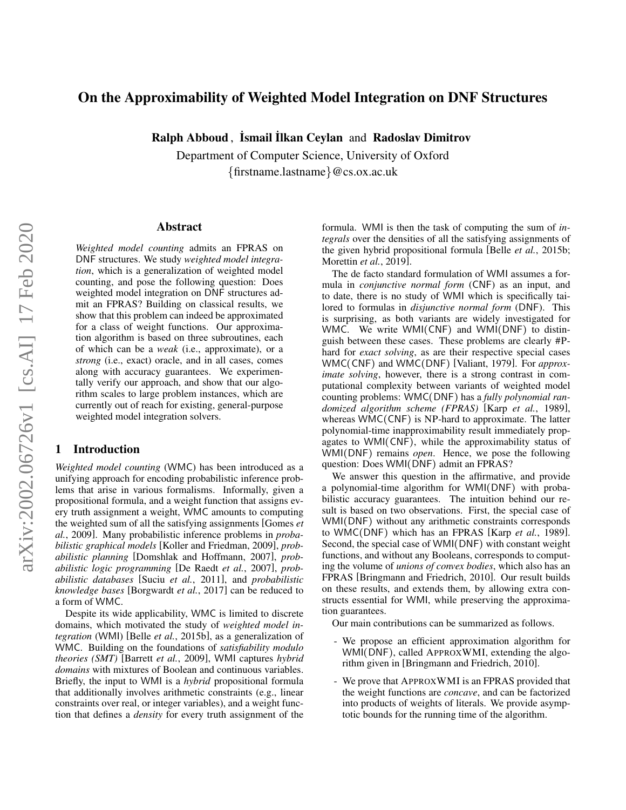# <span id="page-0-0"></span>On the Approximability of Weighted Model Integration on DNF Structures

Ralph Abboud, Ismail Ilkan Ceylan and Radoslav Dimitrov

Department of Computer Science, University of Oxford {firstname.lastname}@cs.ox.ac.uk

### Abstract

*Weighted model counting* admits an FPRAS on DNF structures. We study *weighted model integration*, which is a generalization of weighted model counting, and pose the following question: Does weighted model integration on DNF structures admit an FPRAS? Building on classical results, we show that this problem can indeed be approximated for a class of weight functions. Our approximation algorithm is based on three subroutines, each of which can be a *weak* (i.e., approximate), or a *strong* (i.e., exact) oracle, and in all cases, comes along with accuracy guarantees. We experimentally verify our approach, and show that our algorithm scales to large problem instances, which are currently out of reach for existing, general-purpose weighted model integration solvers.

# 1 Introduction

*Weighted model counting* (WMC) has been introduced as a unifying approach for encoding probabilistic inference problems that arise in various formalisms. Informally, given a propositional formula, and a weight function that assigns every truth assignment a weight, WMC amounts to computing the weighted sum of all the satisfying assignments [\[Gomes](#page-6-0) *et al.*[, 2009\]](#page-6-0). Many probabilistic inference problems in *probabilistic graphical models* [\[Koller and Friedman, 2009\]](#page-6-1), *probabilistic planning* [\[Domshlak and Hoffmann, 2007\]](#page-6-2), *probabilistic logic programming* [\[De Raedt](#page-6-3) *et al.*, 2007], *probabilistic databases* [Suciu *et al.*[, 2011\]](#page-6-4), and *probabilistic knowledge bases* [\[Borgwardt](#page-6-5) *et al.*, 2017] can be reduced to a form of WMC.

Despite its wide applicability, WMC is limited to discrete domains, which motivated the study of *weighted model integration* (WMI) [Belle *et al.*[, 2015b\]](#page-6-6), as a generalization of WMC. Building on the foundations of *satisfiability modulo theories (SMT)* [\[Barrett](#page-6-7) *et al.*, 2009], WMI captures *hybrid domains* with mixtures of Boolean and continuous variables. Briefly, the input to WMI is a *hybrid* propositional formula that additionally involves arithmetic constraints (e.g., linear constraints over real, or integer variables), and a weight function that defines a *density* for every truth assignment of the formula. WMI is then the task of computing the sum of *integrals* over the densities of all the satisfying assignments of the given hybrid propositional formula [Belle *et al.*[, 2015b;](#page-6-6) [Morettin](#page-6-8) *et al.*, 2019].

The de facto standard formulation of WMI assumes a formula in *conjunctive normal form* (CNF) as an input, and to date, there is no study of WMI which is specifically tailored to formulas in *disjunctive normal form* (DNF). This is surprising, as both variants are widely investigated for WMC. We write WMI(CNF) and WMI(DNF) to distinguish between these cases. These problems are clearly #Phard for *exact solving*, as are their respective special cases WMC(CNF) and WMC(DNF) [\[Valiant, 1979\]](#page-6-9). For *approximate solving*, however, there is a strong contrast in computational complexity between variants of weighted model counting problems: WMC(DNF) has a *fully polynomial randomized algorithm scheme (FPRAS)* [Karp *et al.*[, 1989\]](#page-6-10), whereas WMC(CNF) is NP-hard to approximate. The latter polynomial-time inapproximability result immediately propagates to WMI(CNF), while the approximability status of WMI(DNF) remains *open*. Hence, we pose the following question: Does WMI(DNF) admit an FPRAS?

We answer this question in the affirmative, and provide a polynomial-time algorithm for WMI(DNF) with probabilistic accuracy guarantees. The intuition behind our result is based on two observations. First, the special case of WMI(DNF) without any arithmetic constraints corresponds to WMC(DNF) which has an FPRAS [Karp *et al.*[, 1989\]](#page-6-10). Second, the special case of WMI(DNF) with constant weight functions, and without any Booleans, corresponds to computing the volume of *unions of convex bodies*, which also has an FPRAS [\[Bringmann and Friedrich, 2010\]](#page-6-11). Our result builds on these results, and extends them, by allowing extra constructs essential for WMI, while preserving the approximation guarantees.

Our main contributions can be summarized as follows.

- We propose an efficient approximation algorithm for WMI(DNF), called APPROXWMI, extending the algorithm given in [\[Bringmann and Friedrich, 2010\]](#page-6-11).
- We prove that APPROXWMI is an FPRAS provided that the weight functions are *concave*, and can be factorized into products of weights of literals. We provide asymptotic bounds for the running time of the algorithm.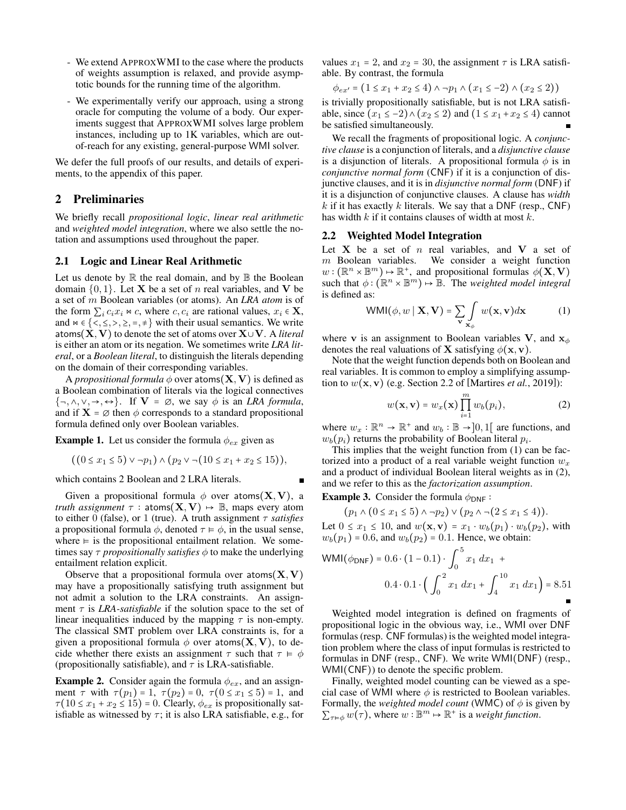- We extend APPROXWMI to the case where the products of weights assumption is relaxed, and provide asymptotic bounds for the running time of the algorithm.
- We experimentally verify our approach, using a strong oracle for computing the volume of a body. Our experiments suggest that APPROXWMI solves large problem instances, including up to 1K variables, which are outof-reach for any existing, general-purpose WMI solver.

We defer the full proofs of our results, and details of experiments, to the appendix of this paper.

## 2 Preliminaries

We briefly recall *propositional logic*, *linear real arithmetic* and *weighted model integration*, where we also settle the notation and assumptions used throughout the paper.

#### 2.1 Logic and Linear Real Arithmetic

Let us denote by  $\mathbb R$  the real domain, and by  $\mathbb B$  the Boolean domain  $\{0, 1\}$ . Let **X** be a set of *n* real variables, and **V** be a set of m Boolean variables (or atoms). An *LRA atom* is of the form  $\sum_i c_i x_i \Join c$ , where  $c, c_i$  are rational values,  $x_i \in \mathbf{X}$ , and  $\bowtie \in \{ \langle \xi, \xi, \rangle, \xi, =, \frac{1}{\xi} \}$  with their usual semantics. We write atoms(X, V) to denote the set of atoms over X∪V. A *literal* is either an atom or its negation. We sometimes write *LRA literal*, or a *Boolean literal*, to distinguish the literals depending on the domain of their corresponding variables.

A *propositional formula*  $\phi$  over atoms(**X**, **V**) is defined as a Boolean combination of literals via the logical connectives  $\{\neg, \wedge, \vee, \rightarrow, \leftrightarrow\}$ . If  $V = \emptyset$ , we say  $\phi$  is an *LRA formula*, and if  $X = \emptyset$  then  $\phi$  corresponds to a standard propositional formula defined only over Boolean variables.

**Example 1.** Let us consider the formula  $\phi_{ex}$  given as

$$
((0 \le x_1 \le 5) \lor \neg p_1) \land (p_2 \lor \neg (10 \le x_1 + x_2 \le 15)),
$$

which contains 2 Boolean and 2 LRA literals.

Given a propositional formula  $\phi$  over atoms(X, V), a *truth assignment*  $\tau$  : atoms( $X, V$ )  $\mapsto$   $\mathbb{B}$ , maps every atom to either 0 (false), or 1 (true). A truth assignment  $\tau$  *satisfies* a propositional formula  $\phi$ , denoted  $\tau \models \phi$ , in the usual sense, where  $\models$  is the propositional entailment relation. We sometimes say  $\tau$  *propositionally satisfies*  $\phi$  to make the underlying entailment relation explicit.

Observe that a propositional formula over atoms  $(X, V)$ may have a propositionally satisfying truth assignment but not admit a solution to the LRA constraints. An assignment  $\tau$  is *LRA-satisfiable* if the solution space to the set of linear inequalities induced by the mapping  $\tau$  is non-empty. The classical SMT problem over LRA constraints is, for a given a propositional formula  $\phi$  over atoms(X, V), to decide whether there exists an assignment  $\tau$  such that  $\tau \vDash \phi$ (propositionally satisfiable), and  $\tau$  is LRA-satisfiable.

**Example 2.** Consider again the formula  $\phi_{ex}$ , and an assignment  $\tau$  with  $\tau(p_1) = 1$ ,  $\tau(p_2) = 0$ ,  $\tau(0 \le x_1 \le 5) = 1$ , and  $\tau(10 \le x_1 + x_2 \le 15) = 0$ . Clearly,  $\phi_{ex}$  is propositionally satisfiable as witnessed by  $\tau$ ; it is also LRA satisfiable, e.g., for values  $x_1 = 2$ , and  $x_2 = 30$ , the assignment  $\tau$  is LRA satisfiable. By contrast, the formula

$$
\phi_{ex'} = (1 \le x_1 + x_2 \le 4) \land \neg p_1 \land (x_1 \le -2) \land (x_2 \le 2))
$$

is trivially propositionally satisfiable, but is not LRA satisfiable, since  $(x_1 \leq -2) \land (x_2 \leq 2)$  and  $(1 \leq x_1 + x_2 \leq 4)$  cannot be satisfied simultaneously.

We recall the fragments of propositional logic. A *conjunctive clause* is a conjunction of literals, and a *disjunctive clause* is a disjunction of literals. A propositional formula  $\phi$  is in *conjunctive normal form* (CNF) if it is a conjunction of disjunctive clauses, and it is in *disjunctive normal form* (DNF) if it is a disjunction of conjunctive clauses. A clause has *width* k if it has exactly k literals. We say that a DNF (resp.,  $CNF$ ) has width  $k$  if it contains clauses of width at most  $k$ .

#### <span id="page-1-0"></span>2.2 Weighted Model Integration

Let  $X$  be a set of  $n$  real variables, and  $V$  a set of  $m$  Boolean variables. We consider a weight function  $w : (\mathbb{R}^n \times \mathbb{B}^m) \mapsto \mathbb{R}^+$ , and propositional formulas  $\phi(\mathbf{X}, \mathbf{V})$ such that  $\phi : (\mathbb{R}^n \times \mathbb{B}^m) \mapsto \mathbb{B}$ . The *weighted model integral* is defined as:

<span id="page-1-1"></span>
$$
WMI(\phi, w \mid \mathbf{X}, \mathbf{V}) = \sum_{\mathbf{v}} \int_{\mathbf{x}_{\phi}} w(\mathbf{x}, \mathbf{v}) d\mathbf{x}
$$
 (1)

where v is an assignment to Boolean variables V, and  $x_{\phi}$ denotes the real valuations of **X** satisfying  $\phi(\mathbf{x}, \mathbf{v})$ .

Note that the weight function depends both on Boolean and real variables. It is common to employ a simplifying assumption to  $w(\mathbf{x}, \mathbf{v})$  (e.g. Section [2.2](#page-1-0) of [\[Martires](#page-6-12) *et al.*, 2019]):

<span id="page-1-2"></span>
$$
w(\mathbf{x}, \mathbf{v}) = w_x(\mathbf{x}) \prod_{i=1}^m w_b(p_i), \qquad (2)
$$

where  $w_x : \mathbb{R}^n \to \mathbb{R}^+$  and  $w_b : \mathbb{B} \to ]0,1[$  are functions, and  $w_b(p_i)$  returns the probability of Boolean literal  $p_i$ .

This implies that the weight function from [\(1\)](#page-1-1) can be factorized into a product of a real variable weight function  $w_x$ and a product of individual Boolean literal weights as in [\(2\)](#page-1-2), and we refer to this as the *factorization assumption*.

**Example 3.** Consider the formula  $\phi_{\text{DNF}}$ :

$$
(p_1 \wedge (0 \le x_1 \le 5) \wedge \neg p_2) \vee (p_2 \wedge \neg (2 \le x_1 \le 4)).
$$

Let  $0 \leq x_1 \leq 10$ , and  $w(\mathbf{x}, \mathbf{v}) = x_1 \cdot w_b(p_1) \cdot w_b(p_2)$ , with  $w_b(p_1) = 0.6$ , and  $w_b(p_2) = 0.1$ . Hence, we obtain:

$$
\text{WMI}(\phi_{\text{DNF}}) = 0.6 \cdot (1 - 0.1) \cdot \int_0^5 x_1 \, dx_1 +
$$

$$
0.4 \cdot 0.1 \cdot \left( \int_0^2 x_1 \, dx_1 + \int_4^{10} x_1 \, dx_1 \right) = 8.51
$$

Weighted model integration is defined on fragments of propositional logic in the obvious way, i.e., WMI over DNF formulas (resp. CNF formulas) is the weighted model integration problem where the class of input formulas is restricted to formulas in DNF (resp., CNF). We write WMI(DNF) (resp., WMI(CNF)) to denote the specific problem.

Finally, weighted model counting can be viewed as a special case of WMI where  $\phi$  is restricted to Boolean variables. Formally, the *weighted model count* (WMC) of  $\phi$  is given by  $\sum_{\tau \in \phi} w(\tau)$ , where  $w : \mathbb{B}^m \mapsto \mathbb{R}^+$  is a *weight function*.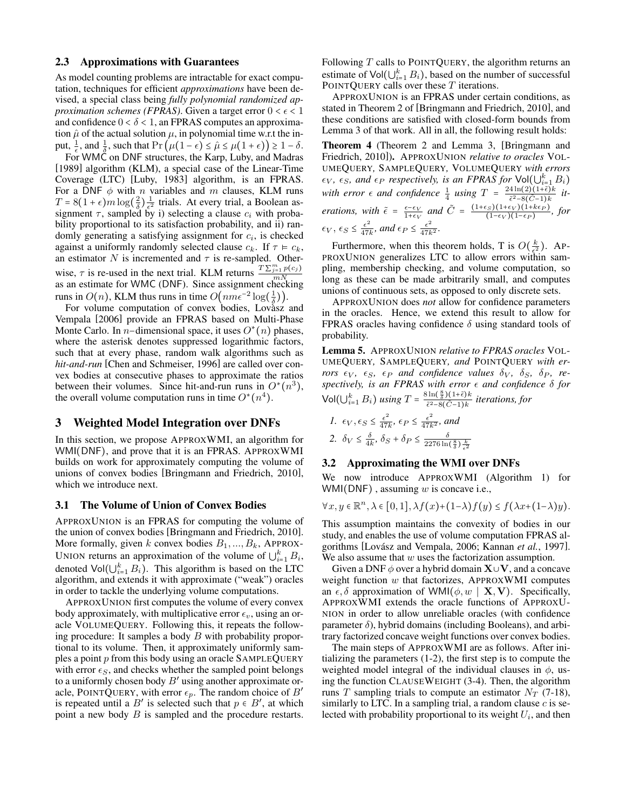#### 2.3 Approximations with Guarantees

As model counting problems are intractable for exact computation, techniques for efficient *approximations* have been devised, a special class being *fully polynomial randomized approximation schemes (FPRAS)*. Given a target error  $0 < \epsilon < 1$ and confidence  $0 < \delta < 1$ , an FPRAS computes an approximation  $\hat{\mu}$  of the actual solution  $\mu$ , in polynomial time w.r.t the input,  $\frac{1}{\epsilon}$ , and  $\frac{1}{\delta}$ , such that  $\Pr \left( \mu(1 - \epsilon) \leq \hat{\mu} \leq \mu(1 + \epsilon) \right) \geq 1 - \delta$ .

For WMC on DNF structures, the Karp, Luby, and Madras [\[1989\]](#page-6-10) algorithm (KLM), a special case of the Linear-Time Coverage (LTC) [\[Luby, 1983\]](#page-6-13) algorithm, is an FPRAS. For a DNF  $\phi$  with n variables and m clauses, KLM runs  $T = 8(1 + \epsilon) m \log(\frac{2}{\delta}) \frac{1}{\epsilon^2}$  trials. At every trial, a Boolean assignment  $\tau$ , sampled by i) selecting a clause  $c_i$  with probability proportional to its satisfaction probability, and ii) randomly generating a satisfying assignment for  $c_i$ , is checked against a uniformly randomly selected clause  $c_k$ . If  $\tau \models c_k$ , an estimator N is incremented and  $\tau$  is re-sampled. Otherwise,  $\tau$  is re-used in the next trial. KLM returns  $\frac{T \sum_{j=1}^{m} p(c_j)}{m N}$ wise,  $\frac{m}{N}$  is re-used in the heat that. KEM returns  $\frac{m}{N}$  as an estimate for WMC (DNF). Since assignment checking runs in  $O(n)$ , KLM thus runs in time  $O\left(nme^{-2}\log\left(\frac{1}{\delta}\right)\right)$ .

For volume computation of convex bodies, Lovasz and Vempala [\[2006\]](#page-6-14) provide an FPRAS based on Multi-Phase Monte Carlo. In *n*-dimensional space, it uses  $O^*(n)$  phases, where the asterisk denotes suppressed logarithmic factors, such that at every phase, random walk algorithms such as *hit-and-run* [\[Chen and Schmeiser, 1996\]](#page-6-15) are called over convex bodies at consecutive phases to approximate the ratios between their volumes. Since hit-and-run runs in  $O^*(n^3)$ , the overall volume computation runs in time  $O^*(n^4)$ .

## 3 Weighted Model Integration over DNFs

In this section, we propose APPROXWMI, an algorithm for WMI(DNF), and prove that it is an FPRAS. APPROXWMI builds on work for approximately computing the volume of unions of convex bodies [\[Bringmann and Friedrich, 2010\]](#page-6-11), which we introduce next.

### 3.1 The Volume of Union of Convex Bodies

APPROXUNION is an FPRAS for computing the volume of the union of convex bodies [\[Bringmann and Friedrich, 2010\]](#page-6-11). More formally, given k convex bodies  $B_1, ..., B_k$ , APPROX-UNION returns an approximation of the volume of  $\bigcup_{i=1}^{k} B_i$ , denoted  $\text{Vol}(\bigcup_{i=1}^{k} B_i)$ . This algorithm is based on the LTC algorithm, and extends it with approximate ("weak") oracles in order to tackle the underlying volume computations.

APPROXUNION first computes the volume of every convex body approximately, with multiplicative error  $\epsilon_v$ , using an oracle VOLUMEQUERY. Following this, it repeats the following procedure: It samples a body  $B$  with probability proportional to its volume. Then, it approximately uniformly samples a point p from this body using an oracle SAMPLEQUERY with error  $\epsilon_S$ , and checks whether the sampled point belongs to a uniformly chosen body  $B'$  using another approximate oracle, POINTQUERY, with error  $\epsilon_p$ . The random choice of B' is repeated until a  $B'$  is selected such that  $p \in B'$ , at which point a new body B is sampled and the procedure restarts. Following  $T$  calls to POINTQUERY, the algorithm returns an estimate of  $\text{Vol}(\bigcup_{i=1}^k B_i)$ , based on the number of successful POINTQUERY calls over these T iterations.

APPROXUNION is an FPRAS under certain conditions, as stated in Theorem 2 of [\[Bringmann and Friedrich, 2010\]](#page-6-11), and these conditions are satisfied with closed-form bounds from Lemma 3 of that work. All in all, the following result holds:

<span id="page-2-1"></span>Theorem 4 (Theorem 2 and Lemma 3, [\[Bringmann and](#page-6-11) [Friedrich, 2010\]](#page-6-11)). APPROXUNION *relative to oracles* VOL-UMEQUERY*,* SAMPLEQUERY*,* VOLUMEQUERY *with errors*  $\epsilon_V$ ,  $\epsilon_S$ , and  $\epsilon_P$  respectively, is an *FPRAS* for  $\text{Vol}(\bigcup_{i=1}^k B_i)$ with error  $\epsilon$  and confidence  $\frac{1}{4}$  using  $T = \frac{24 \ln(2)(1+\tilde{\epsilon})k}{\tilde{\epsilon}^2 - 8(\tilde{C}-1)k}$  $\frac{4 \ln(2)(1+\epsilon)\kappa}{\tilde{\epsilon}^2-8(\tilde{C}-1)k}$  *iterations, with*  $\tilde{\epsilon} = \frac{\epsilon - \epsilon_V}{1 + \epsilon_V}$  *and*  $\tilde{C} = \frac{(1 + \epsilon_S)(1 + \epsilon_V)(1 + k\epsilon_P)}{(1 - \epsilon_V)(1 - \epsilon_P)}$  $\frac{\left(\frac{S}{S}\right)\left(1+\epsilon_V\right)\left(1+\kappa\epsilon_P\right)}{(1-\epsilon_V)(1-\epsilon_P)},$  for  $\epsilon_V, \, \epsilon_S \leq \frac{\epsilon^2}{47}$  $rac{\epsilon^2}{47k}$ *, and*  $\epsilon_P \leq \frac{\epsilon^2}{47k^2}$ *.* 

Furthermore, when this theorem holds, T is  $O(\frac{k}{\epsilon^2})$ . AP-PROXUNION generalizes LTC to allow errors within sampling, membership checking, and volume computation, so long as these can be made arbitrarily small, and computes unions of continuous sets, as opposed to only discrete sets.

APPROXUNION does *not* allow for confidence parameters in the oracles. Hence, we extend this result to allow for FPRAS oracles having confidence  $\delta$  using standard tools of probability.

<span id="page-2-0"></span>Lemma 5. APPROXUNION *relative to FPRAS oracles* VOL-UMEQUERY*,* SAMPLEQUERY*, and* POINTQUERY *with errors*  $\epsilon_V$ ,  $\epsilon_S$ ,  $\epsilon_P$  *and confidence values*  $\delta_V$ ,  $\delta_S$ ,  $\delta_P$ , *respectively, is an FPRAS with error and confidence* δ *for*  $\text{Vol}(\bigcup_{i=1}^k B_i)$  *using*  $T = \frac{8 \ln(\frac{8}{\delta})(1+\tilde{\epsilon})k}{\tilde{\epsilon}^2 - 8(\tilde{C}-1)k}$  $\frac{\sin(\frac{\pi}{\delta})(1+\epsilon)\kappa}{\tilde{\epsilon}^2-8(\tilde{C}-1)k}$  iterations, for

*I.* 
$$
\epsilon_V
$$
,  $\epsilon_S \le \frac{\epsilon^2}{47k}$ ,  $\epsilon_P \le \frac{\epsilon^2}{47k^2}$ , and  
\n2.  $\delta_V \le \frac{\delta}{4k}$ ,  $\delta_S + \delta_P \le \frac{\delta}{2276 \ln(\frac{8}{\delta})\frac{k}{\epsilon^2}}$ 

### <span id="page-2-2"></span>3.2 Approximating the WMI over DNFs

We now introduce APPROXWMI (Algorithm [1\)](#page-3-0) for WMI(DNF), assuming  $w$  is concave i.e.,

$$
\forall x, y \in \mathbb{R}^n, \lambda \in [0, 1], \lambda f(x) + (1 - \lambda)f(y) \le f(\lambda x + (1 - \lambda)y).
$$

This assumption maintains the convexity of bodies in our study, and enables the use of volume computation FPRAS al-gorithms [Lovász and Vempala, 2006; [Kannan](#page-6-16) *et al.*, 1997]. We also assume that  $w$  uses the factorization assumption.

Given a DNF  $\phi$  over a hybrid domain  $X \cup V$ , and a concave weight function  $w$  that factorizes, APPROXWMI computes an  $\epsilon$ ,  $\delta$  approximation of WMI( $\phi$ ,  $w \mid \mathbf{X}, \mathbf{V}$ ). Specifically, APPROXWMI extends the oracle functions of APPROXU-NION in order to allow unreliable oracles (with confidence parameter  $\delta$ ), hybrid domains (including Booleans), and arbitrary factorized concave weight functions over convex bodies.

The main steps of APPROXWMI are as follows. After initializing the parameters [\(1-2\)](#page-3-0), the first step is to compute the weighted model integral of the individual clauses in  $\phi$ , using the function CLAUSEWEIGHT [\(3-4\)](#page-3-0). Then, the algorithm runs T sampling trials to compute an estimator  $N_T$  [\(7-18\)](#page-3-0), similarly to LTC. In a sampling trial, a random clause  $c$  is selected with probability proportional to its weight  $U_i$ , and then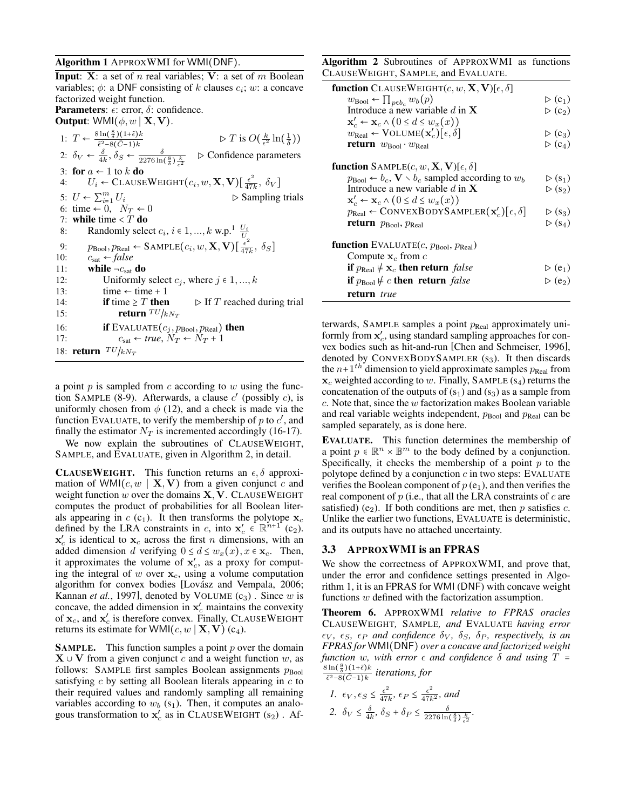#### <span id="page-3-0"></span>Algorithm 1 APPROXWMI for WMI(DNF).

**Input:** X: a set of n real variables; V: a set of m Boolean variables;  $\phi$ : a DNF consisting of k clauses  $c_i$ ; w: a concave factorized weight function. **Parameters:**  $\epsilon$ : error,  $\delta$ : confidence. **Output:** WMI $(\phi, w \mid \mathbf{X}, \mathbf{V}).$ 1:  $T \leftarrow \frac{8 \ln(\frac{8}{\delta})(1+\tilde{\epsilon})k}{\tilde{\epsilon}^2 \cdot 8(\tilde{C}+1)k}$  $\tilde{\epsilon}^2 - 8(\tilde{C}-1)k$  $\triangleright T$  is  $O(\frac{k}{\epsilon^2} \ln(\frac{1}{\delta}))$ 2:  $\delta_V \leftarrow \frac{\delta}{4k}, \delta_S \leftarrow \frac{\delta}{2276 \ln(\frac{8}{\delta}) \frac{k}{\epsilon^2}}$ ▷ Confidence parameters 3: for  $a \leftarrow 1$  to  $k$  do 4:  $U_i \leftarrow \text{CALSEWEIGHT}(c_i, w, \mathbf{X}, \mathbf{V}) \left[\frac{\epsilon^2}{47}\right]$  $\frac{\epsilon^2}{47k}, \delta_V]$ 5:  $U \leftarrow \sum_{i=1}^{m}$  $\triangleright$  Sampling trials 6: time  $\leftarrow 0$ ,  $N_T \leftarrow 0$ 7: while time  $\leq T$  do 8: Randomly select  $c_i$ ,  $i \in 1, ..., k$  $i \in 1, ..., k$  $i \in 1, ..., k$  w.p.<sup>1</sup>  $\frac{U_i}{U}$ 9:  $p_{\text{Bool}}, p_{\text{Real}} \leftarrow \text{SAMPLE}(c_i, w, \mathbf{X}, \mathbf{V})[\frac{\epsilon^2}{47}$  $\frac{\epsilon^2}{47k}, \delta_S$ ] 10:  $c_{\text{sat}} \leftarrow false$ 11: while  $\neg c_{\text{sat}}$  do 12: Uniformly select  $c_j$ , where  $j \in 1, ..., k$ 13:  $time \leftarrow time + 1$ <br>14: **if** time  $\geq T$  **then** 14: **if** time  $\geq T$  then  $\triangleright$  If T reached during trial 15: **return**  $T U / k N_T$ 16: **if** EVALUATE $(c_j, p_{\text{Bool}}, p_{\text{Real}})$  then 17:  $c_{\text{sat}} \leftarrow true, N_T \leftarrow N_T + 1$ 18: return  $TU/kN_T$ 

a point  $p$  is sampled from  $c$  according to  $w$  using the func-tion SAMPLE [\(8-9\)](#page-3-0). Afterwards, a clause  $c'$  (possibly  $c$ ), is uniformly chosen from  $\phi$  [\(12\)](#page-3-0), and a check is made via the function EVALUATE, to verify the membership of p to  $c'$ , and finally the estimator  $N_T$  is incremented accordingly [\(16-17\)](#page-3-0).

We now explain the subroutines of CLAUSEWEIGHT, SAMPLE, and EVALUATE, given in Algorithm [2,](#page-3-1) in detail.

**CLAUSEWEIGHT.** This function returns an  $\epsilon$ ,  $\delta$  approximation of WMI $(c, w \mid \mathbf{X}, \mathbf{V})$  from a given conjunct c and weight function  $w$  over the domains  $X, V$ . CLAUSEWEIGHT computes the product of probabilities for all Boolean literals appearing in  $c$  (c<sub>1</sub>). It then transforms the polytope  $x_c$ defined by the LRA constraints in c, into  $x'_c \in \mathbb{R}^{n+1}$  (c<sub>2</sub>).  $x_c$  is identical to  $x_c$  across the first *n* dimensions, with an added dimension d verifying  $0 \le d \le w_x(x)$ ,  $x \in \mathbf{x}_c$ . Then, it approximates the volume of  $x'_c$ , as a proxy for computing the integral of  $w$  over  $x_c$ , using a volume computation algorithm for convex bodies [Lovász and Vempala, 2006; [Kannan](#page-6-16) *et al.*, 1997], denoted by VOLUME  $(c_3)$ . Since w is concave, the added dimension in  $x_c'$  maintains the convexity of  $\mathbf{x}_c$ , and  $\mathbf{x}'_c$  is therefore convex. Finally, CLAUSEWEIGHT returns its estimate for WMI $(c, w \mid \mathbf{X}, \mathbf{V})$  (c<sub>4</sub>).

**SAMPLE.** This function samples a point  $p$  over the domain  $X \cup V$  from a given conjunct c and a weight function w, as follows: SAMPLE first samples Boolean assignments  $p_{\text{Bool}}$ satisfying  $c$  by setting all Boolean literals appearing in  $c$  to their required values and randomly sampling all remaining variables according to  $w_b$  (s<sub>1</sub>). Then, it computes an analogous transformation to  $\mathbf{x}'_c$  as in CLAUSEWEIGHT (s<sub>2</sub>). Af<span id="page-3-1"></span>Algorithm 2 Subroutines of APPROXWMI as functions CLAUSEWEIGHT, SAMPLE, and EVALUATE.

| <b>function</b> CLAUSEWEIGHT $(c, w, \mathbf{X}, \mathbf{V})[\epsilon, \delta]$          |                                    |
|------------------------------------------------------------------------------------------|------------------------------------|
| $w_{\text{Bool}} \leftarrow \prod_{p \in b_c} w_b(p)$                                    | $\triangleright$ (c <sub>1</sub> ) |
| Introduce a new variable d in $X$                                                        | $\triangleright$ (c <sub>2</sub> ) |
| $\mathbf{x}'_c \leftarrow \mathbf{x}_c \wedge (0 \leq d \leq w_x(x))$                    |                                    |
| $w_{\text{Real}} \leftarrow \text{Volume}(\mathbf{x}'_c) [\epsilon, \delta]$             | $\triangleright$ (c <sub>3</sub> ) |
| <b>return</b> $w_{\text{Bool}} \cdot w_{\text{Real}}$                                    | $\triangleright$ (c <sub>4</sub> ) |
| <b>function</b> SAMPLE $(c, w, \mathbf{X}, \mathbf{V})$ [ $\epsilon, \delta$ ]           |                                    |
| $p_{\text{Bool}} \leftarrow b_c$ , $\mathbf{V} \setminus b_c$ sampled according to $w_b$ | $\triangleright$ (s <sub>1</sub> ) |
| Introduce a new variable d in $X$                                                        | $\triangleright$ (s <sub>2</sub> ) |
| $\mathbf{x}'_c \leftarrow \mathbf{x}_c \wedge (0 \leq d \leq w_x(x))$                    |                                    |
| $p_{\text{Real}} \leftarrow \text{ConvexBopySAMPLER}(\mathbf{x}'_c)[\epsilon, \delta]$   | $\triangleright$ (s <sub>3</sub> ) |
| <b>return</b> $p_{\text{Bool}}$ , $p_{\text{Real}}$                                      | $\triangleright$ (s <sub>4</sub> ) |
| function EVALUATE $(c, p_{\text{Bool}}, p_{\text{Real}})$                                |                                    |
| Compute $x_c$ from c                                                                     |                                    |
| if $p_{\text{Real}} \neq \mathbf{x}_c$ then return false                                 | $\triangleright$ (e <sub>1</sub> ) |
| if $p_{\text{Bool}} \neq c$ then return <i>false</i>                                     | $\triangleright$ (e <sub>2</sub> ) |
| return true                                                                              |                                    |

terwards, SAMPLE samples a point  $p_{\text{Real}}$  approximately uniformly from  $x'_c$ , using standard sampling approaches for convex bodies such as hit-and-run [\[Chen and Schmeiser, 1996\]](#page-6-15), denoted by  $ConvexBoDYSAMPLER(s<sub>3</sub>)$ . It then discards the  $n+1$ <sup>th</sup> dimension to yield approximate samples  $p_{\text{Real}}$  from  $x_c$  weighted according to w. Finally, SAMPLE (s<sub>4</sub>) returns the concatenation of the outputs of  $(s_1)$  and  $(s_3)$  as a sample from  $c$ . Note that, since the  $w$  factorization makes Boolean variable and real variable weights independent,  $p_{\text{Bool}}$  and  $p_{\text{Real}}$  can be sampled separately, as is done here.

EVALUATE. This function determines the membership of a point  $p \in \mathbb{R}^n \times \mathbb{B}^m$  to the body defined by a conjunction. Specifically, it checks the membership of a point  $p$  to the polytope defined by a conjunction  $c$  in two steps: EVALUATE verifies the Boolean component of  $p(e_1)$ , and then verifies the real component of  $p$  (i.e., that all the LRA constraints of  $c$  are satisfied) (e<sub>2</sub>). If both conditions are met, then p satisfies c. Unlike the earlier two functions, EVALUATE is deterministic, and its outputs have no attached uncertainty.

#### <span id="page-3-3"></span>3.3 APPROXWMI is an FPRAS

We show the correctness of APPROXWMI, and prove that, under the error and confidence settings presented in Algorithm [1,](#page-3-0) it is an FPRAS for WMI (DNF) with concave weight functions w defined with the factorization assumption.

<span id="page-3-2"></span>Theorem 6. APPROXWMI *relative to FPRAS oracles* CLAUSEWEIGHT*,* SAMPLE*, and* EVALUATE *having error*  $\epsilon_V$ ,  $\epsilon_S$ ,  $\epsilon_P$  and confidence  $\delta_V$ ,  $\delta_S$ ,  $\delta_P$ , respectively, is an *FPRAS for* WMI(DNF) *over a concave and factorized weight function* w, with error  $\epsilon$  *and confidence*  $\delta$  *and using*  $T =$  $\frac{8\ln(\frac{8}{\delta})(1+\tilde{\epsilon})k}{h}$  $\frac{\sin(\frac{\pi}{\delta})(1+\epsilon)\kappa}{\tilde{\epsilon}^2-8(\tilde{C}-1)k}$  iterations, for

1. 
$$
\epsilon_V
$$
,  $\epsilon_S \le \frac{\epsilon^2}{47k}$ ,  $\epsilon_P \le \frac{\epsilon^2}{47k^2}$ , and  
2.  $\delta_V \le \frac{\delta}{4k}$ ,  $\delta_S + \delta_P \le \frac{\delta}{2276 \ln(\frac{8}{\delta}) \frac{k}{\epsilon^2}}$ .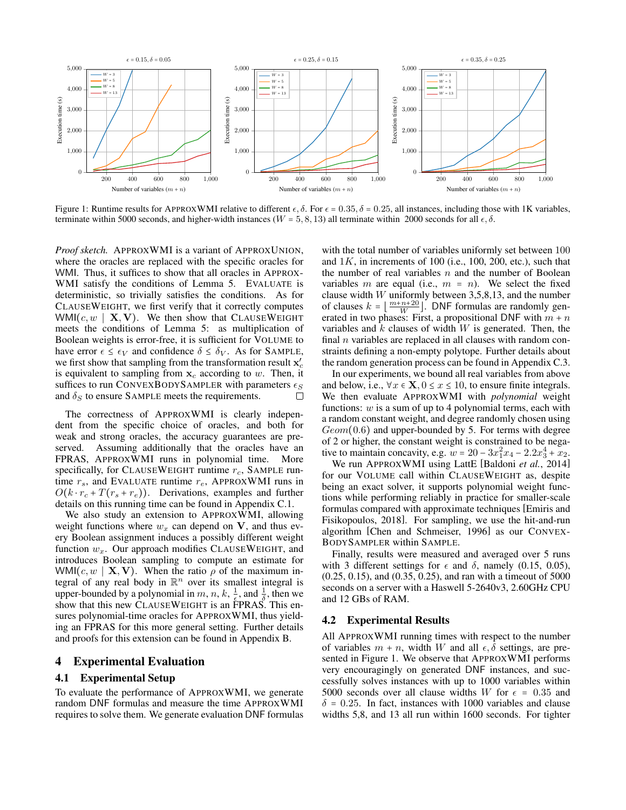<span id="page-4-0"></span>

Figure 1: Runtime results for APPROXWMI relative to different  $\epsilon$ ,  $\delta$ . For  $\epsilon$  = 0.35,  $\delta$  = 0.25, all instances, including those with 1K variables, terminate within 5000 seconds, and higher-width instances ( $W = 5, 8, 13$ ) all terminate within 2000 seconds for all  $\epsilon, \delta$ .

*Proof sketch.* APPROXWMI is a variant of APPROXUNION, where the oracles are replaced with the specific oracles for WMI. Thus, it suffices to show that all oracles in APPROX-WMI satisfy the conditions of Lemma [5.](#page-2-0) EVALUATE is deterministic, so trivially satisfies the conditions. As for CLAUSEWEIGHT, we first verify that it correctly computes WMI $(c, w \mid \mathbf{X}, \mathbf{V})$ . We then show that CLAUSEWEIGHT meets the conditions of Lemma [5:](#page-2-0) as multiplication of Boolean weights is error-free, it is sufficient for VOLUME to have error  $\epsilon \leq \epsilon_V$  and confidence  $\delta \leq \delta_V$ . As for SAMPLE, we first show that sampling from the transformation result  $\mathbf{x}'_c$ is equivalent to sampling from  $x_c$  according to w. Then, it suffices to run CONVEXBODYSAMPLER with parameters  $\epsilon_S$ and  $\delta_S$  to ensure SAMPLE meets the requirements. П

The correctness of APPROXWMI is clearly independent from the specific choice of oracles, and both for weak and strong oracles, the accuracy guarantees are preserved. Assuming additionally that the oracles have an FPRAS, APPROXWMI runs in polynomial time. More specifically, for CLAUSEWEIGHT runtime  $r_c$ , SAMPLE runtime  $r_s$ , and EVALUATE runtime  $r_e$ , APPROXWMI runs in  $O(k \cdot r_c + T(r_s + r_e))$ . Derivations, examples and further details on this running time can be found in Appendix [C.1.](#page-10-0)

We also study an extension to APPROXWMI, allowing weight functions where  $w_x$  can depend on V, and thus every Boolean assignment induces a possibly different weight function  $w_x$ . Our approach modifies CLAUSEWEIGHT, and introduces Boolean sampling to compute an estimate for WMI $(c, w \mid \mathbf{X}, \mathbf{V})$ . When the ratio  $\rho$  of the maximum integral of any real body in  $\mathbb{R}^n$  over its smallest integral is upper-bounded by a polynomial in m, n, k,  $\frac{1}{\epsilon}$ , and  $\frac{1}{\delta}$ , then we show that this new CLAUSEWEIGHT is an FPRAS. This ensures polynomial-time oracles for APPROXWMI, thus yielding an FPRAS for this more general setting. Further details and proofs for this extension can be found in Appendix [B.](#page-8-0)

## 4 Experimental Evaluation

### 4.1 Experimental Setup

To evaluate the performance of APPROXWMI, we generate random DNF formulas and measure the time APPROXWMI requires to solve them. We generate evaluation DNF formulas with the total number of variables uniformly set between 100 and  $1K$ , in increments of 100 (i.e., 100, 200, etc.), such that the number of real variables  $n$  and the number of Boolean variables m are equal (i.e.,  $m = n$ ). We select the fixed clause width  $W$  uniformly between 3,5,8,13, and the number of clauses  $k = \lfloor \frac{m+n+20}{W} \rfloor$ . DNF formulas are randomly generated in two phases: First, a propositional DNF with  $m + n$ variables and  $k$  clauses of width  $W$  is generated. Then, the final  $n$  variables are replaced in all clauses with random constraints defining a non-empty polytope. Further details about the random generation process can be found in Appendix [C.3.](#page-11-0)

In our experiments, we bound all real variables from above and below, i.e.,  $\forall x \in \mathbf{X}, 0 \leq x \leq 10$ , to ensure finite integrals. We then evaluate APPROXWMI with *polynomial* weight functions:  $w$  is a sum of up to 4 polynomial terms, each with a random constant weight, and degree randomly chosen using  $Geom(0.6)$  and upper-bounded by 5. For terms with degree of 2 or higher, the constant weight is constrained to be negative to maintain concavity, e.g.  $w = 20 - 3x_1^2x_4 - 2.2x_3^4 + x_2$ .

We run APPROXWMI using LattE [\[Baldoni](#page-6-17) *et al.*, 2014] for our VOLUME call within CLAUSEWEIGHT as, despite being an exact solver, it supports polynomial weight functions while performing reliably in practice for smaller-scale formulas compared with approximate techniques [\[Emiris and](#page-6-18) [Fisikopoulos, 2018\]](#page-6-18). For sampling, we use the hit-and-run algorithm [\[Chen and Schmeiser, 1996\]](#page-6-15) as our CONVEX-BODYSAMPLER within SAMPLE.

Finally, results were measured and averaged over 5 runs with 3 different settings for  $\epsilon$  and  $\delta$ , namely (0.15, 0.05), (0.25, 0.15), and (0.35, 0.25), and ran with a timeout of 5000 seconds on a server with a Haswell 5-2640v3, 2.60GHz CPU and 12 GBs of RAM.

### 4.2 Experimental Results

All APPROXWMI running times with respect to the number of variables  $m + n$ , width W and all  $\epsilon$ ,  $\delta$  settings, are presented in Figure [1.](#page-4-0) We observe that APPROXWMI performs very encouragingly on generated DNF instances, and successfully solves instances with up to 1000 variables within 5000 seconds over all clause widths W for  $\epsilon = 0.35$  and  $\delta$  = 0.25. In fact, instances with 1000 variables and clause widths 5,8, and 13 all run within 1600 seconds. For tighter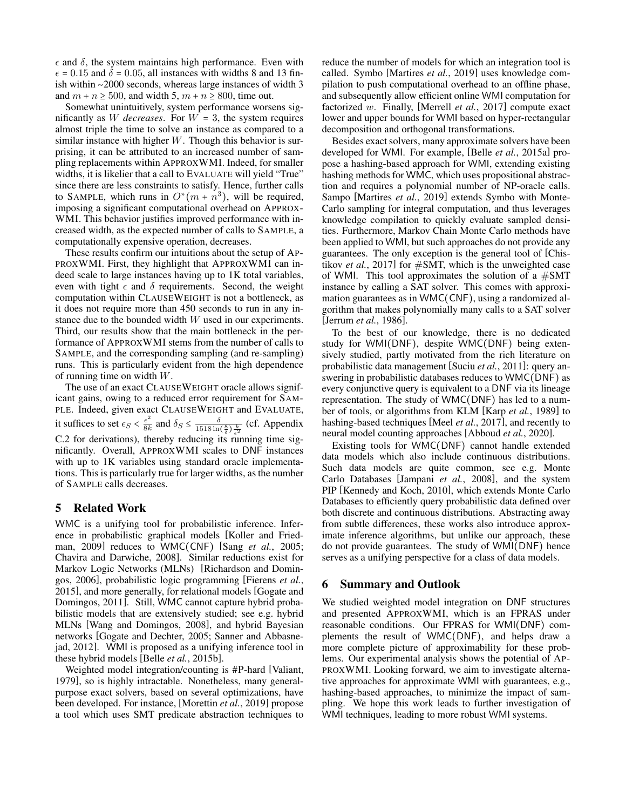$\epsilon$  and  $\delta$ , the system maintains high performance. Even with  $\epsilon$  = 0.15 and  $\delta$  = 0.05, all instances with widths 8 and 13 finish within ∼2000 seconds, whereas large instances of width 3 and  $m + n \ge 500$ , and width 5,  $m + n \ge 800$ , time out.

Somewhat unintuitively, system performance worsens significantly as W *decreases*. For  $W = 3$ , the system requires almost triple the time to solve an instance as compared to a similar instance with higher  $W$ . Though this behavior is surprising, it can be attributed to an increased number of sampling replacements within APPROXWMI. Indeed, for smaller widths, it is likelier that a call to EVALUATE will yield "True" since there are less constraints to satisfy. Hence, further calls to SAMPLE, which runs in  $O^*(m + n^3)$ , will be required, imposing a significant computational overhead on APPROX-WMI. This behavior justifies improved performance with increased width, as the expected number of calls to SAMPLE, a computationally expensive operation, decreases.

These results confirm our intuitions about the setup of AP-PROXWMI. First, they highlight that APPROXWMI can indeed scale to large instances having up to 1K total variables, even with tight  $\epsilon$  and  $\delta$  requirements. Second, the weight computation within CLAUSEWEIGHT is not a bottleneck, as it does not require more than 450 seconds to run in any instance due to the bounded width W used in our experiments. Third, our results show that the main bottleneck in the performance of APPROXWMI stems from the number of calls to SAMPLE, and the corresponding sampling (and re-sampling) runs. This is particularly evident from the high dependence of running time on width W.

The use of an exact CLAUSEWEIGHT oracle allows significant gains, owing to a reduced error requirement for SAM-PLE. Indeed, given exact CLAUSEWEIGHT and EVALUATE, it suffices to set  $\epsilon_S < \frac{\epsilon^2}{8k}$  $\frac{\epsilon^2}{8k}$  and  $\delta_S \le \frac{\delta}{1518 \ln(\frac{8}{\delta}) \frac{k}{\epsilon^2}}$  (cf. Appendix [C.2](#page-11-1) for derivations), thereby reducing its running time significantly. Overall, APPROXWMI scales to DNF instances with up to 1K variables using standard oracle implementations. This is particularly true for larger widths, as the number of SAMPLE calls decreases.

## 5 Related Work

WMC is a unifying tool for probabilistic inference. Inference in probabilistic graphical models [\[Koller and Fried](#page-6-1)[man, 2009\]](#page-6-1) reduces to WMC(CNF) [Sang *et al.*[, 2005;](#page-6-19) [Chavira and Darwiche, 2008\]](#page-6-20). Similar reductions exist for Markov Logic Networks (MLNs) [\[Richardson and Domin](#page-6-21)[gos, 2006\]](#page-6-21), probabilistic logic programming [\[Fierens](#page-6-22) *et al.*, [2015\]](#page-6-22), and more generally, for relational models [\[Gogate and](#page-6-23) [Domingos, 2011\]](#page-6-23). Still, WMC cannot capture hybrid probabilistic models that are extensively studied; see e.g. hybrid MLNs [\[Wang and Domingos, 2008\]](#page-6-24), and hybrid Bayesian networks [\[Gogate and Dechter, 2005;](#page-6-25) [Sanner and Abbasne](#page-6-26)[jad, 2012\]](#page-6-26). WMI is proposed as a unifying inference tool in these hybrid models [Belle *et al.*[, 2015b\]](#page-6-6).

Weighted model integration/counting is #P-hard [\[Valiant,](#page-6-9) [1979\]](#page-6-9), so is highly intractable. Nonetheless, many generalpurpose exact solvers, based on several optimizations, have been developed. For instance, [\[Morettin](#page-6-8) *et al.*, 2019] propose a tool which uses SMT predicate abstraction techniques to reduce the number of models for which an integration tool is called. Symbo [\[Martires](#page-6-12) *et al.*, 2019] uses knowledge compilation to push computational overhead to an offline phase, and subsequently allow efficient online WMI computation for factorized w. Finally, [\[Merrell](#page-6-27) *et al.*, 2017] compute exact lower and upper bounds for WMI based on hyper-rectangular decomposition and orthogonal transformations.

Besides exact solvers, many approximate solvers have been developed for WMI. For example, [Belle *et al.*[, 2015a\]](#page-6-28) propose a hashing-based approach for WMI, extending existing hashing methods for WMC, which uses propositional abstraction and requires a polynomial number of NP-oracle calls. Sampo [\[Martires](#page-6-12) *et al.*, 2019] extends Symbo with Monte-Carlo sampling for integral computation, and thus leverages knowledge compilation to quickly evaluate sampled densities. Furthermore, Markov Chain Monte Carlo methods have been applied to WMI, but such approaches do not provide any guarantees. The only exception is the general tool of [\[Chis](#page-6-29)tikov *et al.*[, 2017\]](#page-6-29) for  $\#SMT$ , which is the unweighted case of WMI. This tool approximates the solution of a  $\#\text{SMT}$ instance by calling a SAT solver. This comes with approximation guarantees as in WMC(CNF), using a randomized algorithm that makes polynomially many calls to a SAT solver [\[Jerrum](#page-6-30) *et al.*, 1986].

To the best of our knowledge, there is no dedicated study for WMI(DNF), despite WMC(DNF) being extensively studied, partly motivated from the rich literature on probabilistic data management [Suciu *et al.*[, 2011\]](#page-6-4): query answering in probabilistic databases reduces to WMC(DNF) as every conjunctive query is equivalent to a DNF via its lineage representation. The study of WMC(DNF) has led to a number of tools, or algorithms from KLM [Karp *et al.*[, 1989\]](#page-6-10) to hashing-based techniques [Meel *et al.*[, 2017\]](#page-6-31), and recently to neural model counting approaches [\[Abboud](#page-6-32) *et al.*, 2020].

Existing tools for WMC(DNF) cannot handle extended data models which also include continuous distributions. Such data models are quite common, see e.g. Monte Carlo Databases [\[Jampani](#page-6-33) *et al.*, 2008], and the system PIP [\[Kennedy and Koch, 2010\]](#page-6-34), which extends Monte Carlo Databases to efficiently query probabilistic data defined over both discrete and continuous distributions. Abstracting away from subtle differences, these works also introduce approximate inference algorithms, but unlike our approach, these do not provide guarantees. The study of WMI(DNF) hence serves as a unifying perspective for a class of data models.

### 6 Summary and Outlook

We studied weighted model integration on DNF structures and presented APPROXWMI, which is an FPRAS under reasonable conditions. Our FPRAS for WMI(DNF) complements the result of WMC(DNF), and helps draw a more complete picture of approximability for these problems. Our experimental analysis shows the potential of AP-PROXWMI. Looking forward, we aim to investigate alternative approaches for approximate WMI with guarantees, e.g., hashing-based approaches, to minimize the impact of sampling. We hope this work leads to further investigation of WMI techniques, leading to more robust WMI systems.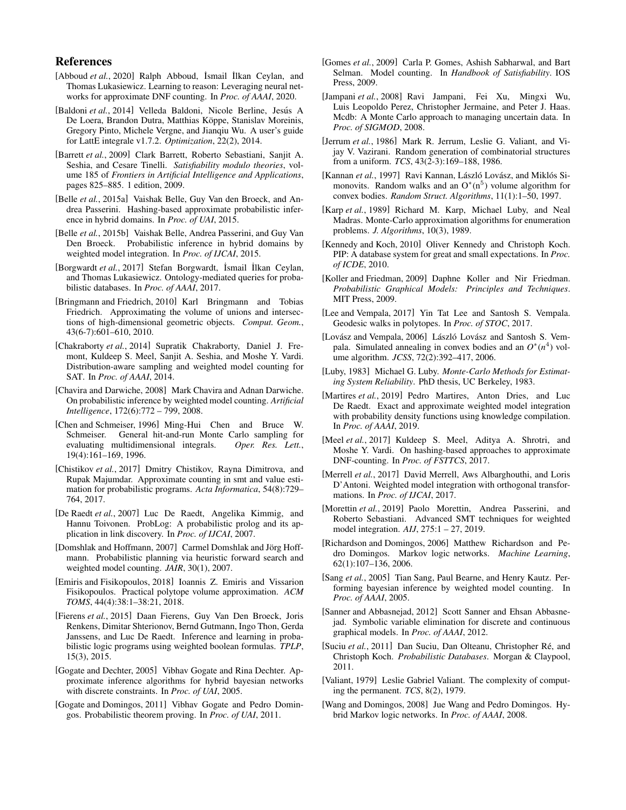## References

- <span id="page-6-32"></span>[Abboud *et al.*, 2020] Ralph Abboud, İsmail İlkan Ceylan, and Thomas Lukasiewicz. Learning to reason: Leveraging neural networks for approximate DNF counting. In *Proc. of AAAI*, 2020.
- <span id="page-6-17"></span>[Baldoni et al., 2014] Velleda Baldoni, Nicole Berline, Jesús A De Loera, Brandon Dutra, Matthias Köppe, Stanislav Moreinis, Gregory Pinto, Michele Vergne, and Jianqiu Wu. A user's guide for LattE integrale v1.7.2. *Optimization*, 22(2), 2014.
- <span id="page-6-7"></span>[Barrett *et al.*, 2009] Clark Barrett, Roberto Sebastiani, Sanjit A. Seshia, and Cesare Tinelli. *Satisfiability modulo theories*, volume 185 of *Frontiers in Artificial Intelligence and Applications*, pages 825–885. 1 edition, 2009.
- <span id="page-6-28"></span>[Belle *et al.*, 2015a] Vaishak Belle, Guy Van den Broeck, and Andrea Passerini. Hashing-based approximate probabilistic inference in hybrid domains. In *Proc. of UAI*, 2015.
- <span id="page-6-6"></span>[Belle *et al.*, 2015b] Vaishak Belle, Andrea Passerini, and Guy Van Den Broeck. Probabilistic inference in hybrid domains by weighted model integration. In *Proc. of IJCAI*, 2015.
- <span id="page-6-5"></span>[Borgwardt *et al.*, 2017] Stefan Borgwardt, ˙Ismail ˙Ilkan Ceylan, and Thomas Lukasiewicz. Ontology-mediated queries for probabilistic databases. In *Proc. of AAAI*, 2017.
- <span id="page-6-11"></span>[Bringmann and Friedrich, 2010] Karl Bringmann and Tobias Friedrich. Approximating the volume of unions and intersections of high-dimensional geometric objects. *Comput. Geom.*, 43(6-7):601–610, 2010.
- <span id="page-6-35"></span>[Chakraborty *et al.*, 2014] Supratik Chakraborty, Daniel J. Fremont, Kuldeep S. Meel, Sanjit A. Seshia, and Moshe Y. Vardi. Distribution-aware sampling and weighted model counting for SAT. In *Proc. of AAAI*, 2014.
- <span id="page-6-20"></span>[Chavira and Darwiche, 2008] Mark Chavira and Adnan Darwiche. On probabilistic inference by weighted model counting. *Artificial Intelligence*, 172(6):772 – 799, 2008.
- <span id="page-6-15"></span>[Chen and Schmeiser, 1996] Ming-Hui Chen and Bruce W. Schmeiser. General hit-and-run Monte Carlo sampling for evaluating multidimensional integrals. *Oper. Res. Lett.*, 19(4):161–169, 1996.
- <span id="page-6-29"></span>[Chistikov et al., 2017] Dmitry Chistikov, Rayna Dimitrova, and Rupak Majumdar. Approximate counting in smt and value estimation for probabilistic programs. *Acta Informatica*, 54(8):729– 764, 2017.
- <span id="page-6-3"></span>[De Raedt *et al.*, 2007] Luc De Raedt, Angelika Kimmig, and Hannu Toivonen. ProbLog: A probabilistic prolog and its application in link discovery. In *Proc. of IJCAI*, 2007.
- <span id="page-6-2"></span>[Domshlak and Hoffmann, 2007] Carmel Domshlak and Jörg Hoffmann. Probabilistic planning via heuristic forward search and weighted model counting. *JAIR*, 30(1), 2007.
- <span id="page-6-18"></span>[Emiris and Fisikopoulos, 2018] Ioannis Z. Emiris and Vissarion Fisikopoulos. Practical polytope volume approximation. *ACM TOMS*, 44(4):38:1–38:21, 2018.
- <span id="page-6-22"></span>[Fierens *et al.*, 2015] Daan Fierens, Guy Van Den Broeck, Joris Renkens, Dimitar Shterionov, Bernd Gutmann, Ingo Thon, Gerda Janssens, and Luc De Raedt. Inference and learning in probabilistic logic programs using weighted boolean formulas. *TPLP*, 15(3), 2015.
- <span id="page-6-25"></span>[Gogate and Dechter, 2005] Vibhav Gogate and Rina Dechter. Approximate inference algorithms for hybrid bayesian networks with discrete constraints. In *Proc. of UAI*, 2005.
- <span id="page-6-23"></span>[Gogate and Domingos, 2011] Vibhav Gogate and Pedro Domingos. Probabilistic theorem proving. In *Proc. of UAI*, 2011.
- <span id="page-6-0"></span>[Gomes *et al.*, 2009] Carla P. Gomes, Ashish Sabharwal, and Bart Selman. Model counting. In *Handbook of Satisfiability*. IOS Press, 2009.
- <span id="page-6-33"></span>[Jampani *et al.*, 2008] Ravi Jampani, Fei Xu, Mingxi Wu, Luis Leopoldo Perez, Christopher Jermaine, and Peter J. Haas. Mcdb: A Monte Carlo approach to managing uncertain data. In *Proc. of SIGMOD*, 2008.
- <span id="page-6-30"></span>[Jerrum et al., 1986] Mark R. Jerrum, Leslie G. Valiant, and Vijay V. Vazirani. Random generation of combinatorial structures from a uniform. *TCS*, 43(2-3):169–188, 1986.
- <span id="page-6-16"></span>[Kannan et al., 1997] Ravi Kannan, László Lovász, and Miklós Simonovits. Random walks and an  $O^*(n^5)$  volume algorithm for convex bodies. *Random Struct. Algorithms*, 11(1):1–50, 1997.
- <span id="page-6-10"></span>[Karp *et al.*, 1989] Richard M. Karp, Michael Luby, and Neal Madras. Monte-Carlo approximation algorithms for enumeration problems. *J. Algorithms*, 10(3), 1989.
- <span id="page-6-34"></span>[Kennedy and Koch, 2010] Oliver Kennedy and Christoph Koch. PIP: A database system for great and small expectations. In *Proc. of ICDE*, 2010.
- <span id="page-6-1"></span>[Koller and Friedman, 2009] Daphne Koller and Nir Friedman. *Probabilistic Graphical Models: Principles and Techniques*. MIT Press, 2009.
- <span id="page-6-36"></span>[Lee and Vempala, 2017] Yin Tat Lee and Santosh S. Vempala. Geodesic walks in polytopes. In *Proc. of STOC*, 2017.
- <span id="page-6-14"></span>[Lovász and Vempala, 2006] László Lovász and Santosh S. Vempala. Simulated annealing in convex bodies and an  $O^*(n^4)$  volume algorithm. *JCSS*, 72(2):392–417, 2006.
- <span id="page-6-13"></span>[Luby, 1983] Michael G. Luby. *Monte-Carlo Methods for Estimating System Reliability*. PhD thesis, UC Berkeley, 1983.
- <span id="page-6-12"></span>[Martires et al., 2019] Pedro Martires, Anton Dries, and Luc De Raedt. Exact and approximate weighted model integration with probability density functions using knowledge compilation. In *Proc. of AAAI*, 2019.
- <span id="page-6-31"></span>[Meel *et al.*, 2017] Kuldeep S. Meel, Aditya A. Shrotri, and Moshe Y. Vardi. On hashing-based approaches to approximate DNF-counting. In *Proc. of FSTTCS*, 2017.
- <span id="page-6-27"></span>[Merrell *et al.*, 2017] David Merrell, Aws Albarghouthi, and Loris D'Antoni. Weighted model integration with orthogonal transformations. In *Proc. of IJCAI*, 2017.
- <span id="page-6-8"></span>[Morettin et al., 2019] Paolo Morettin, Andrea Passerini, and Roberto Sebastiani. Advanced SMT techniques for weighted model integration. *AIJ*, 275:1 – 27, 2019.
- <span id="page-6-21"></span>[Richardson and Domingos, 2006] Matthew Richardson and Pedro Domingos. Markov logic networks. *Machine Learning*, 62(1):107–136, 2006.
- <span id="page-6-19"></span>[Sang *et al.*, 2005] Tian Sang, Paul Bearne, and Henry Kautz. Performing bayesian inference by weighted model counting. In *Proc. of AAAI*, 2005.
- <span id="page-6-26"></span>[Sanner and Abbasnejad, 2012] Scott Sanner and Ehsan Abbasnejad. Symbolic variable elimination for discrete and continuous graphical models. In *Proc. of AAAI*, 2012.
- <span id="page-6-4"></span>[Suciu et al., 2011] Dan Suciu, Dan Olteanu, Christopher Ré, and Christoph Koch. *Probabilistic Databases*. Morgan & Claypool, 2011.
- <span id="page-6-9"></span>[Valiant, 1979] Leslie Gabriel Valiant. The complexity of computing the permanent. *TCS*, 8(2), 1979.
- <span id="page-6-24"></span>[Wang and Domingos, 2008] Jue Wang and Pedro Domingos. Hybrid Markov logic networks. In *Proc. of AAAI*, 2008.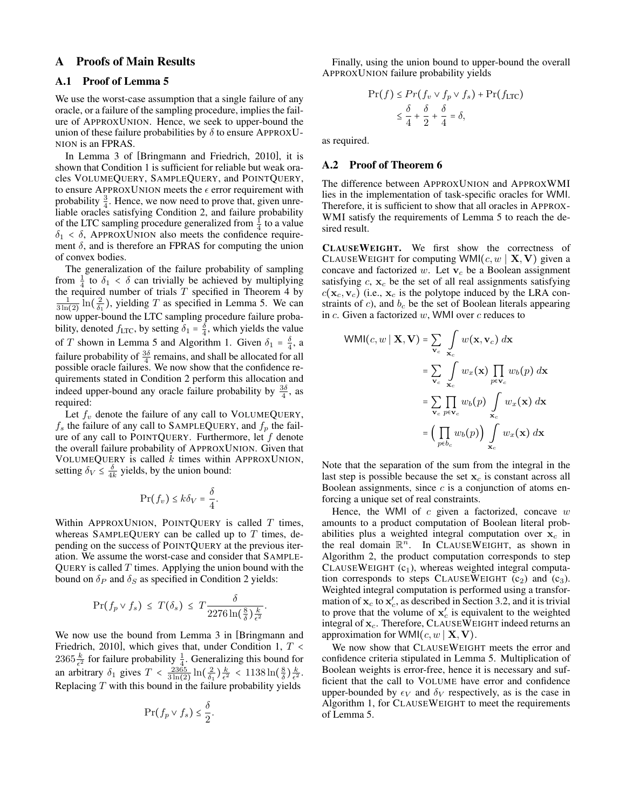## A Proofs of Main Results

### A.1 Proof of Lemma [5](#page-2-0)

We use the worst-case assumption that a single failure of any oracle, or a failure of the sampling procedure, implies the failure of APPROXUNION. Hence, we seek to upper-bound the union of these failure probabilities by  $\delta$  to ensure APPROXU-NION is an FPRAS.

In Lemma 3 of [\[Bringmann and Friedrich, 2010\]](#page-6-11), it is shown that Condition 1 is sufficient for reliable but weak oracles VOLUMEQUERY, SAMPLEQUERY, and POINTQUERY, to ensure APPROXUNION meets the  $\epsilon$  error requirement with probability  $\frac{3}{4}$ . Hence, we now need to prove that, given unreliable oracles satisfying Condition 2, and failure probability of the LTC sampling procedure generalized from  $\frac{1}{4}$  to a value  $\delta_1 < \delta$ , APPROXUNION also meets the confidence requirement  $\delta$ , and is therefore an FPRAS for computing the union of convex bodies.

The generalization of the failure probability of sampling from  $\frac{1}{4}$  to  $\delta_1 < \delta$  can trivially be achieved by multiplying the required number of trials  $T$  specified in Theorem [4](#page-2-1) by  $\frac{1}{3 \ln(2)} \ln(\frac{2}{\delta_1})$ , yielding T as specified in Lemma [5.](#page-2-0) We can now upper-bound the LTC sampling procedure failure probability, denoted  $f_{\text{LTC}}$ , by setting  $\delta_1 = \frac{\delta}{4}$ , which yields the value of T shown in Lemma [5](#page-2-0) and Algorithm [1.](#page-3-0) Given  $\delta_1 = \frac{\delta}{4}$ , a failure probability of  $\frac{3\delta}{4}$  remains, and shall be allocated for all possible oracle failures. We now show that the confidence requirements stated in Condition 2 perform this allocation and indeed upper-bound any oracle failure probability by  $\frac{3\delta}{4}$ , as required:

Let  $f_v$  denote the failure of any call to VOLUMEQUERY,  $f_s$  the failure of any call to SAMPLEQUERY, and  $f_p$  the failure of any call to POINTQUERY. Furthermore, let  $f$  denote the overall failure probability of APPROXUNION. Given that VOLUMEQUERY is called  $k$  times within APPROXUNION, setting  $\delta_V \leq \frac{\delta}{4k}$  yields, by the union bound:

$$
\Pr(f_v) \le k\delta_V = \frac{\delta}{4}.
$$

Within APPROXUNION, POINTQUERY is called  $T$  times, whereas SAMPLEQUERY can be called up to  $T$  times, depending on the success of POINTQUERY at the previous iteration. We assume the worst-case and consider that SAMPLE-QUERY is called  $T$  times. Applying the union bound with the bound on  $\delta_P$  and  $\delta_S$  as specified in Condition 2 yields:

$$
\Pr(f_p \vee f_s) \le T(\delta_s) \le T \frac{\delta}{2276 \ln(\frac{8}{\delta})\frac{k}{\epsilon^2}}.
$$

We now use the bound from Lemma 3 in [\[Bringmann and](#page-6-11) [Friedrich, 2010\]](#page-6-11), which gives that, under Condition 1,  $T <$  $2365 \frac{k}{\epsilon^2}$  for failure probability  $\frac{1}{4}$ . Generalizing this bound for an arbitrary  $\delta_1$  gives  $T < \frac{2365}{3 \ln(2)} \ln(\frac{2}{\delta_1}) \frac{k}{\epsilon^2} < 1138 \ln(\frac{8}{\delta}) \frac{k}{\epsilon^2}$ . Replacing  $T$  with this bound in the failure probability yields

$$
\Pr(f_p \vee f_s) \leq \frac{\delta}{2}.
$$

Finally, using the union bound to upper-bound the overall APPROXUNION failure probability yields

$$
\Pr(f) \le \Pr(f_v \lor f_p \lor f_s) + \Pr(f_{\text{LTC}})
$$
  
\$\le \frac{\delta}{4} + \frac{\delta}{2} + \frac{\delta}{4} = \delta\$,

as required.

#### A.2 Proof of Theorem [6](#page-3-2)

The difference between APPROXUNION and APPROXWMI lies in the implementation of task-specific oracles for WMI. Therefore, it is sufficient to show that all oracles in APPROX-WMI satisfy the requirements of Lemma [5](#page-2-0) to reach the desired result.

CLAUSEWEIGHT. We first show the correctness of CLAUSEWEIGHT for computing WMI $(c, w \mid \mathbf{X}, \mathbf{V})$  given a concave and factorized  $w$ . Let  $v_c$  be a Boolean assignment satisfying  $c$ ,  $x_c$  be the set of all real assignments satisfying  $c(\mathbf{x}_c,\mathbf{v}_c)$  (i.e.,  $\mathbf{x}_c$  is the polytope induced by the LRA constraints of  $c$ ), and  $b_c$  be the set of Boolean literals appearing in  $c$ . Given a factorized  $w$ , WMI over  $c$  reduces to

$$
WMI(c, w \mid \mathbf{X}, \mathbf{V}) = \sum_{\mathbf{v}_c} \int_{\mathbf{x}_c} w(\mathbf{x}, \mathbf{v}_c) \, d\mathbf{x}
$$
  

$$
= \sum_{\mathbf{v}_c} \int_{\mathbf{x}_c} w_x(\mathbf{x}) \prod_{p \in \mathbf{v}_c} w_b(p) \, d\mathbf{x}
$$
  

$$
= \sum_{\mathbf{v}_c} \prod_{p \in \mathbf{v}_c} w_b(p) \int_{\mathbf{x}_c} w_x(\mathbf{x}) \, d\mathbf{x}
$$
  

$$
= \Big(\prod_{p \in b_c} w_b(p)\Big) \int_{\mathbf{x}_c} w_x(\mathbf{x}) \, d\mathbf{x}
$$

Note that the separation of the sum from the integral in the last step is possible because the set  $x_c$  is constant across all Boolean assignments, since  $c$  is a conjunction of atoms enforcing a unique set of real constraints.

Hence, the WMI of  $c$  given a factorized, concave  $w$ amounts to a product computation of Boolean literal probabilities plus a weighted integral computation over  $x_c$  in the real domain  $\mathbb{R}^n$ . In CLAUSEWEIGHT, as shown in Algorithm [2,](#page-3-1) the product computation corresponds to step CLAUSEWEIGHT  $(c_1)$ , whereas weighted integral computation corresponds to steps CLAUSEWEIGHT  $(c_2)$  and  $(c_3)$ . Weighted integral computation is performed using a transformation of  $x_c$  to  $x_c'$ , as described in Section [3.2,](#page-2-2) and it is trivial to prove that the volume of  $x'_c$  is equivalent to the weighted integral of  $x_c$ . Therefore, CLAUSEWEIGHT indeed returns an approximation for WMI $(c, w \mid \mathbf{X}, \mathbf{V})$ .

We now show that CLAUSEWEIGHT meets the error and confidence criteria stipulated in Lemma [5.](#page-2-0) Multiplication of Boolean weights is error-free, hence it is necessary and sufficient that the call to VOLUME have error and confidence upper-bounded by  $\epsilon_V$  and  $\delta_V$  respectively, as is the case in Algorithm [1,](#page-3-0) for CLAUSEWEIGHT to meet the requirements of Lemma [5.](#page-2-0)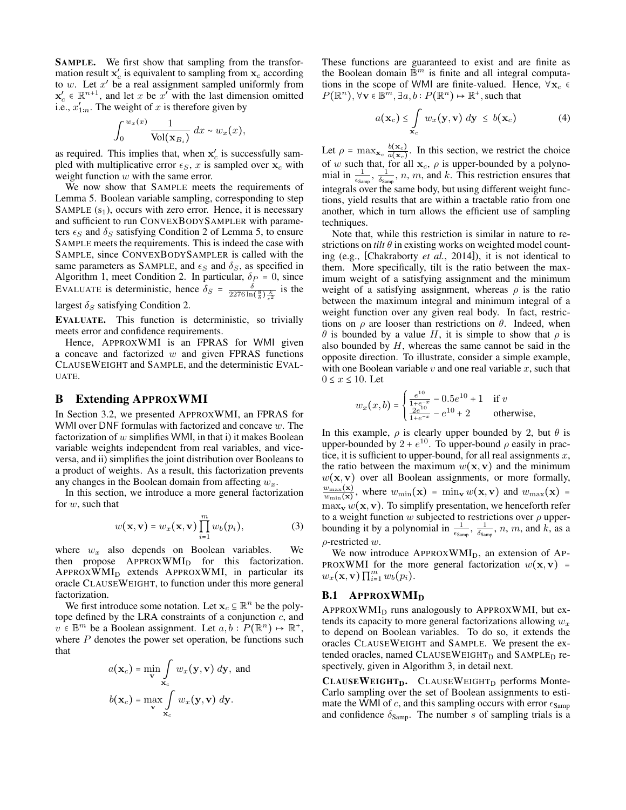SAMPLE. We first show that sampling from the transformation result  $\mathbf{x}'_c$  is equivalent to sampling from  $\mathbf{x}_c$  according to w. Let  $x'$  be a real assignment sampled uniformly from  $\mathbf{x}'_c \in \mathbb{R}^{n+1}$ , and let x be x' with the last dimension omitted i.e.,  $x'_{1:n}$ . The weight of x is therefore given by

$$
\int_0^{w_x(x)} \frac{1}{\text{Vol}(\mathbf{x}_{B_i})} dx \sim w_x(x),
$$

as required. This implies that, when  $x'_c$  is successfully sampled with multiplicative error  $\epsilon_S$ , x is sampled over  $x_c$  with weight function  $w$  with the same error.

We now show that SAMPLE meets the requirements of Lemma [5.](#page-2-0) Boolean variable sampling, corresponding to step SAMPLE  $(s_1)$ , occurs with zero error. Hence, it is necessary and sufficient to run CONVEXBODYSAMPLER with parameters  $\epsilon_S$  and  $\delta_S$  satisfying Condition 2 of Lemma [5,](#page-2-0) to ensure SAMPLE meets the requirements. This is indeed the case with SAMPLE, since CONVEXBODYSAMPLER is called with the same parameters as SAMPLE, and  $\epsilon_S$  and  $\delta_S$ , as specified in Algorithm [1,](#page-3-0) meet Condition 2. In particular,  $\delta_P = 0$ , since EVALUATE is deterministic, hence  $\delta_S = \frac{\delta}{2276 \ln(\frac{8}{\delta}) \frac{k}{\epsilon^2}}$  is the

largest  $\delta_S$  satisfying Condition 2.

EVALUATE. This function is deterministic, so trivially meets error and confidence requirements.

Hence, APPROXWMI is an FPRAS for WMI given a concave and factorized  $w$  and given FPRAS functions CLAUSEWEIGHT and SAMPLE, and the deterministic EVAL-UATE.

## <span id="page-8-0"></span>B Extending APPROXWMI

In Section [3.2,](#page-2-2) we presented APPROXWMI, an FPRAS for WMI over DNF formulas with factorized and concave  $w$ . The factorization of  $w$  simplifies WMI, in that i) it makes Boolean variable weights independent from real variables, and viceversa, and ii) simplifies the joint distribution over Booleans to a product of weights. As a result, this factorization prevents any changes in the Boolean domain from affecting  $w_x$ .

In this section, we introduce a more general factorization for w, such that

$$
w(\mathbf{x}, \mathbf{v}) = w_x(\mathbf{x}, \mathbf{v}) \prod_{i=1}^{m} w_b(p_i),
$$
 (3)

where  $w_x$  also depends on Boolean variables. We then propose APPROXWMI<sub>D</sub> for this factorization.  $APPROXWMI<sub>D</sub>$  extends  $APPROXWMI$ , in particular its oracle CLAUSEWEIGHT, to function under this more general factorization.

We first introduce some notation. Let  $\mathbf{x}_c \subseteq \mathbb{R}^n$  be the polytope defined by the LRA constraints of a conjunction  $c$ , and  $v \in \mathbb{B}^m$  be a Boolean assignment. Let  $a, b : P(\mathbb{R}^n) \to \mathbb{R}^+$ , where  $P$  denotes the power set operation, be functions such that

$$
a(\mathbf{x}_c) = \min_{\mathbf{v}} \int_{\mathbf{x}_c} w_x(\mathbf{y}, \mathbf{v}) \, d\mathbf{y}, \text{ and}
$$

$$
b(\mathbf{x}_c) = \max_{\mathbf{v}} \int_{\mathbf{x}_c} w_x(\mathbf{y}, \mathbf{v}) \, d\mathbf{y}.
$$

These functions are guaranteed to exist and are finite as the Boolean domain  $\mathbb{B}^m$  is finite and all integral computations in the scope of WMI are finite-valued. Hence,  $\forall x_c \in$  $P(\mathbb{R}^n), \forall \mathbf{v} \in \mathbb{B}^m, \exists a, b : P(\mathbb{R}^n) \mapsto \mathbb{R}^+,$  such that

<span id="page-8-2"></span>
$$
a(\mathbf{x}_c) \leq \int_{\mathbf{x}_c} w_x(\mathbf{y}, \mathbf{v}) \, d\mathbf{y} \leq b(\mathbf{x}_c) \tag{4}
$$

Let  $\rho = \max_{\mathbf{x}_c} \frac{b(\mathbf{x}_c)}{a(\mathbf{x}_c)}$  $\frac{b(\mathbf{x}_c)}{a(\mathbf{x}_c)}$ . In this section, we restrict the choice of w such that, for all  $x_c$ ,  $\rho$  is upper-bounded by a polynomial in  $\frac{1}{\epsilon_{\text{Samp}}}$ ,  $\frac{1}{\delta_{\text{Samp}}}$ , n, m, and k. This restriction ensures that integrals over the same body, but using different weight functions, yield results that are within a tractable ratio from one another, which in turn allows the efficient use of sampling techniques.

Note that, while this restriction is similar in nature to restrictions on *tilt*  $\theta$  in existing works on weighted model counting (e.g., [\[Chakraborty](#page-6-35) *et al.*, 2014]), it is not identical to them. More specifically, tilt is the ratio between the maximum weight of a satisfying assignment and the minimum weight of a satisfying assignment, whereas  $\rho$  is the ratio between the maximum integral and minimum integral of a weight function over any given real body. In fact, restrictions on  $\rho$  are looser than restrictions on  $\theta$ . Indeed, when  $θ$  is bounded by a value H, it is simple to show that  $ρ$  is also bounded by  $H$ , whereas the same cannot be said in the opposite direction. To illustrate, consider a simple example, with one Boolean variable  $v$  and one real variable  $x$ , such that  $0 \leq x \leq 10$ . Let

$$
w_x(x, b) = \begin{cases} \frac{e^{10}}{1 + e^{-x}} - 0.5e^{10} + 1 & \text{if } v\\ \frac{2e^{10}}{1 + e^{-x}} - e^{10} + 2 & \text{otherwise,} \end{cases}
$$

In this example,  $\rho$  is clearly upper bounded by 2, but  $\theta$  is upper-bounded by  $2 + e^{10}$ . To upper-bound  $\rho$  easily in practice, it is sufficient to upper-bound, for all real assignments  $x$ , the ratio between the maximum  $w(x, v)$  and the minimum  $w(\mathbf{x}, \mathbf{v})$  over all Boolean assignments, or more formally,  $w_{\max}(\mathbf{x})$  $\frac{w_{\max}(\mathbf{x})}{w_{\min}(\mathbf{x})}$ , where  $w_{\min}(\mathbf{x}) = \min_{\mathbf{v}} w(\mathbf{x}, \mathbf{v})$  and  $w_{\max}(\mathbf{x}) =$  $\max_{\mathbf{v}} w(\mathbf{x}, \mathbf{v})$ . To simplify presentation, we henceforth refer to a weight function w subjected to restrictions over  $\rho$  upperbounding it by a polynomial in  $\frac{1}{\epsilon_{\text{Samp}}}$ ,  $\frac{1}{\delta_{\text{Samp}}}$ , n, m, and k, as a  $\rho$ -restricted w.

<span id="page-8-1"></span>We now introduce  $APPROXWMI_D$ , an extension of AP-PROXWMI for the more general factorization  $w(\mathbf{x}, \mathbf{v})$  =  $w_x(\mathbf{x}, \mathbf{v}) \prod_{i=1}^m w_b(p_i)$ .

## **B.1 APPROXWMID**

APPROXWMI<sub>D</sub> runs analogously to APPROXWMI, but extends its capacity to more general factorizations allowing  $w_x$ to depend on Boolean variables. To do so, it extends the oracles CLAUSEWEIGHT and SAMPLE. We present the extended oracles, named CLAUSEWEIGHT<sub>D</sub> and SAMPLE<sub>D</sub> respectively, given in Algorithm [3,](#page-9-0) in detail next.

 $CLAUSEWEIGHT<sub>D</sub>$ . CLAUSEWEIGHT<sub>D</sub> performs Monte-Carlo sampling over the set of Boolean assignments to estimate the WMI of c, and this sampling occurs with error  $\epsilon_{\text{Samp}}$ and confidence  $\delta_{\text{Samp}}$ . The number s of sampling trials is a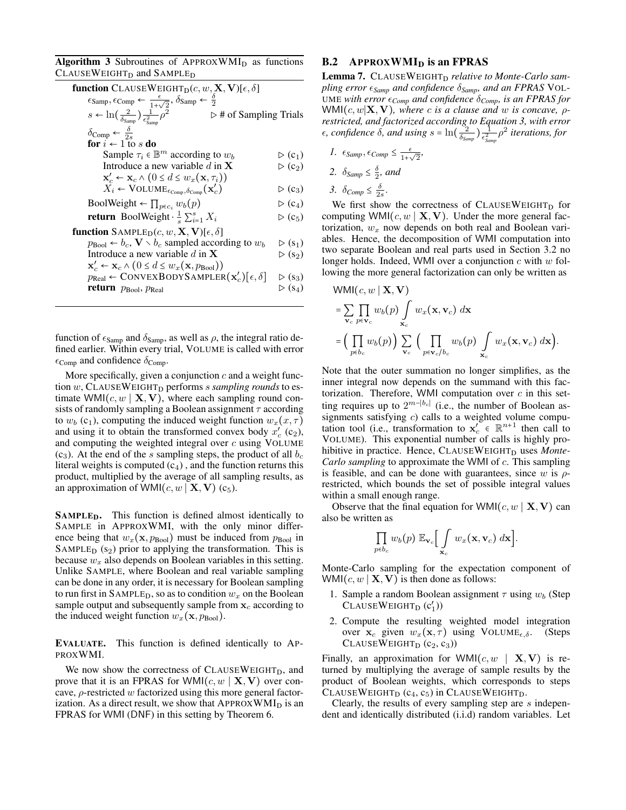<span id="page-9-0"></span>Algorithm 3 Subroutines of  $APPROXWMI<sub>D</sub>$  as functions CLAUSEWEIGHT<sub>D</sub> and SAMPLE<sub>D</sub>

| $\epsilon_{\text{Samp}}, \epsilon_{\text{Comp}} \leftarrow \frac{\epsilon}{1+\sqrt{2}}, \delta_{\text{Samp}} \leftarrow \frac{\delta}{2}$<br>$s \leftarrow \ln\left(\frac{2}{\delta_{\text{Samp}}}\right) \frac{1}{\epsilon_{\text{Samp}}^2} \rho^2$<br>$\triangleright$ # of Sampling Trials |  |
|-----------------------------------------------------------------------------------------------------------------------------------------------------------------------------------------------------------------------------------------------------------------------------------------------|--|
|                                                                                                                                                                                                                                                                                               |  |
|                                                                                                                                                                                                                                                                                               |  |
| $\triangleright$ (c <sub>1</sub> )                                                                                                                                                                                                                                                            |  |
| $\triangleright$ (c <sub>2</sub> )                                                                                                                                                                                                                                                            |  |
|                                                                                                                                                                                                                                                                                               |  |
| $\triangleright$ (c <sub>3</sub> )                                                                                                                                                                                                                                                            |  |
| $\triangleright$ (c <sub>4</sub> )                                                                                                                                                                                                                                                            |  |
| $\triangleright$ (c <sub>5</sub> )                                                                                                                                                                                                                                                            |  |
|                                                                                                                                                                                                                                                                                               |  |
| $\triangleright$ (s <sub>1</sub> )                                                                                                                                                                                                                                                            |  |
| $\triangleright$ (s <sub>2</sub> )                                                                                                                                                                                                                                                            |  |
|                                                                                                                                                                                                                                                                                               |  |
| $\triangleright$ (S <sub>3</sub> )                                                                                                                                                                                                                                                            |  |
| $\triangleright$ (S <sub>4</sub> )                                                                                                                                                                                                                                                            |  |
|                                                                                                                                                                                                                                                                                               |  |

function of  $\epsilon_{Samp}$  and  $\delta_{Samp}$ , as well as  $\rho$ , the integral ratio defined earlier. Within every trial, VOLUME is called with error  $\epsilon_{\text{Comp}}$  and confidence  $\delta_{\text{Comp}}$ .

More specifically, given a conjunction  $c$  and a weight function w, CLAUSEWEIGHT<sub>D</sub> performs *s sampling rounds* to estimate WMI( $c, w \mid \mathbf{X}, \mathbf{V}$ ), where each sampling round consists of randomly sampling a Boolean assignment  $\tau$  according to  $w_b$  (c<sub>1</sub>), computing the induced weight function  $w_x(x, \tau)$ and using it to obtain the transformed convex body  $\overline{x'_c}$  (c<sub>2</sub>), and computing the weighted integral over  $c$  using VOLUME (c<sub>3</sub>). At the end of the s sampling steps, the product of all  $b_c$ literal weights is computed  $(c<sub>4</sub>)$ , and the function returns this product, multiplied by the average of all sampling results, as an approximation of WMI $(c, w \mid \mathbf{X}, \mathbf{V})$  (c<sub>5</sub>).

**SAMPLED.** This function is defined almost identically to SAMPLE in APPROXWMI, with the only minor difference being that  $w_x(\mathbf{x}, p_{\text{Bool}})$  must be induced from  $p_{\text{Bool}}$  in SAMPLE<sub>D</sub>  $(s_2)$  prior to applying the transformation. This is because  $w_x$  also depends on Boolean variables in this setting. Unlike SAMPLE, where Boolean and real variable sampling can be done in any order, it is necessary for Boolean sampling to run first in SAMPLE<sub>D</sub>, so as to condition  $w_x$  on the Boolean sample output and subsequently sample from  $x_c$  according to the induced weight function  $w_x(\mathbf{x}, p_{\text{Bool}})$ .

EVALUATE. This function is defined identically to AP-PROXWMI.

We now show the correctness of  $CLAUSEWEIGHT_D$ , and prove that it is an FPRAS for WMI $(c, w \mid \mathbf{X}, \mathbf{V})$  over concave,  $\rho$ -restricted w factorized using this more general factorization. As a direct result, we show that  $APPROXWMI_D$  is an FPRAS for WMI (DNF) in this setting by Theorem [6.](#page-3-2)

### B.2 APPROXWMI<sub>D</sub> is an FPRAS

<span id="page-9-1"></span>Lemma 7. CLAUSEWEIGHT<sub>D</sub> relative to Monte-Carlo sam*pling error Samp and confidence* δ*Samp, and an FPRAS* VOL-UME *with error*  $\epsilon_{Comp}$  *and confidence*  $\delta_{Comp}$ *, is an FPRAS for*  $WMI(c, w|X, V)$ *, where c is a clause and w is concave,*  $\rho$ *restricted, and factorized according to Equation [3,](#page-8-1) with error*  $\epsilon$ , confidence  $\delta$ , and using  $s = \ln(\frac{c_2}{\delta_{Samp}}) \frac{1}{\epsilon_{Samp}^2} \rho^2$  iterations, for

- *1.*  $\epsilon_{Samp}$ ,  $\epsilon_{Comp} \leq \frac{\epsilon}{1+\epsilon}$  $\frac{\epsilon}{1+\sqrt{2}},$
- 2.  $\delta_{Samp} \leq \frac{\delta}{2}$ *, and*
- 3.  $\delta_{Comp} \leq \frac{\delta}{2s}$ .

We first show the correctness of  $CLAUSEWEIGHT_D$  for computing WMI( $c, w \mid \mathbf{X}, \mathbf{V}$ ). Under the more general factorization,  $w_x$  now depends on both real and Boolean variables. Hence, the decomposition of WMI computation into two separate Boolean and real parts used in Section [3.2](#page-2-2) no longer holds. Indeed, WMI over a conjunction  $c$  with  $w$  following the more general factorization can only be written as

$$
WMI(c, w | \mathbf{X}, \mathbf{V})
$$
  
=  $\sum_{\mathbf{v}_c} \prod_{p \in \mathbf{v}_c} w_b(p) \int_{\mathbf{x}_c} w_x(\mathbf{x}, \mathbf{v}_c) d\mathbf{x}$   
=  $\left(\prod_{p \in b_c} w_b(p)\right) \sum_{\mathbf{v}_c} \left(\prod_{p \in \mathbf{v}_c/b_c} w_b(p) \int_{\mathbf{x}_c} w_x(\mathbf{x}, \mathbf{v}_c) d\mathbf{x}\right).$ 

Note that the outer summation no longer simplifies, as the inner integral now depends on the summand with this factorization. Therefore, WMI computation over  $c$  in this setting requires up to  $2^{m-|b_c|}$  (i.e., the number of Boolean assignments satisfying  $c$ ) calls to a weighted volume computation tool (i.e., transformation to  $\mathbf{x}_c^{\prime} \in \mathbb{R}^{n+1}$  then call to VOLUME). This exponential number of calls is highly prohibitive in practice. Hence, CLAUSEWEIGHT<sub>D</sub> uses *Monte-Carlo sampling* to approximate the WMI of c. This sampling is feasible, and can be done with guarantees, since w is  $\rho$ restricted, which bounds the set of possible integral values within a small enough range.

Observe that the final equation for WMI $(c, w \mid \mathbf{X}, \mathbf{V})$  can also be written as

$$
\prod_{p\in b_c} w_b(p) \mathbb{E}_{\mathbf{v}_c}\Big[\int\limits_{\mathbf{x}_c} w_x(\mathbf{x},\mathbf{v}_c) \ d\mathbf{x}\Big].
$$

Monte-Carlo sampling for the expectation component of WMI( $c, w \mid \mathbf{X}, \mathbf{V}$ ) is then done as follows:

- 1. Sample a random Boolean assignment  $\tau$  using  $w_b$  (Step  $CLAUSEWEIGHT_D(C'_1))$
- 2. Compute the resulting weighted model integration over  $x_c$  given  $w_x(x, \tau)$  using VOLUME<sub> $\epsilon, \delta$ </sub>. (Steps CLAUSEWEIGHT<sub>D</sub>  $(c_2, c_3)$

Finally, an approximation for WMI $(c, w \mid \mathbf{X}, \mathbf{V})$  is returned by multiplying the average of sample results by the product of Boolean weights, which corresponds to steps CLAUSEWEIGHT<sub>D</sub>  $(c_4, c_5)$  in CLAUSEWEIGHT<sub>D</sub>.

Clearly, the results of every sampling step are s independent and identically distributed (i.i.d) random variables. Let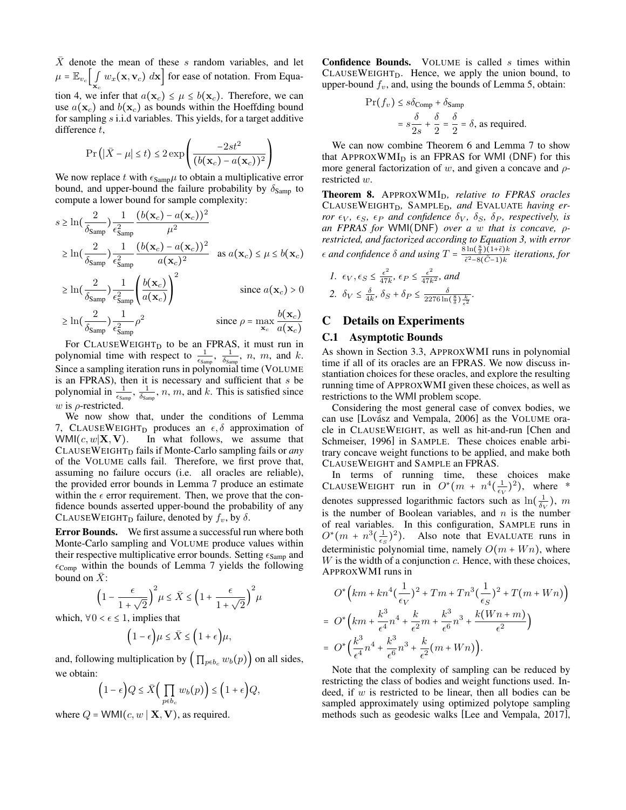$\overline{X}$  denote the mean of these s random variables, and let  $\mu = \mathbb{E}_{v_c} \left[ \int_{\mathbf{x}_c} w_x(\mathbf{x}, \mathbf{v}_c) \, d\mathbf{x} \right]$  for ease of notation. From Equa-tion [4,](#page-8-2) we infer that  $a(\mathbf{x}_c) \leq \mu \leq b(\mathbf{x}_c)$ . Therefore, we can use  $a(\mathbf{x}_c)$  and  $b(\mathbf{x}_c)$  as bounds within the Hoeffding bound for sampling s i.i.d variables. This yields, for a target additive difference t,

$$
\Pr\left(|\bar{X} - \mu| \le t\right) \le 2\exp\left(\frac{-2st^2}{(b(\mathbf{x}_c) - a(\mathbf{x}_c))^2}\right)
$$

We now replace t with  $\epsilon_{\text{Samp}}\mu$  to obtain a multiplicative error bound, and upper-bound the failure probability by  $\delta_{Samp}$  to compute a lower bound for sample complexity:

$$
s \ge \ln\left(\frac{2}{\delta_{\text{Samp}}}\right) \frac{1}{\epsilon_{\text{Samp}}^2} \frac{(b(\mathbf{x}_c) - a(\mathbf{x}_c))^2}{\mu^2}
$$
  
\n
$$
\ge \ln\left(\frac{2}{\delta_{\text{Samp}}}\right) \frac{1}{\epsilon_{\text{Samp}}^2} \frac{(b(\mathbf{x}_c) - a(\mathbf{x}_c))^2}{a(\mathbf{x}_c)^2} \quad \text{as } a(\mathbf{x}_c) \le \mu \le b(\mathbf{x}_c)
$$
  
\n
$$
\ge \ln\left(\frac{2}{\delta_{\text{Samp}}}\right) \frac{1}{\epsilon_{\text{Samp}}^2} \left(\frac{b(\mathbf{x}_c)}{a(\mathbf{x}_c)}\right)^2 \qquad \text{since } a(\mathbf{x}_c) > 0
$$
  
\n
$$
\ge \ln\left(\frac{2}{\delta_{\text{Samp}}}\right) \frac{1}{\epsilon_{\text{Samp}}^2} \rho^2 \qquad \text{since } \rho = \max_{\mathbf{x}_c} \frac{b(\mathbf{x}_c)}{a(\mathbf{x}_c)}
$$

For CLAUSEWEIGHT<sub>D</sub> to be an FPRAS, it must run in polynomial time with respect to  $\frac{1}{\epsilon_{\text{Samp}}}$ ,  $\frac{1}{\delta_{\text{Samp}}}$ , n, m, and k. Since a sampling iteration runs in polynomial time (VOLUME is an FPRAS), then it is necessary and sufficient that  $s$  be polynomial in  $\frac{1}{\epsilon_{\text{Samp}}}$ ,  $\frac{1}{\delta_{\text{Samp}}}$ , n, m, and k. This is satisfied since  $w$  is  $\rho$ -restricted.

We now show that, under the conditions of Lemma [7,](#page-9-1) CLAUSEWEIGHT<sub>D</sub> produces an  $\epsilon$ ,  $\delta$  approximation of WMI $(c, w | \mathbf{X}, \mathbf{V})$ . In what follows, we assume that CLAUSEWEIGHT<sub>D</sub> fails if Monte-Carlo sampling fails or *any* of the VOLUME calls fail. Therefore, we first prove that, assuming no failure occurs (i.e. all oracles are reliable), the provided error bounds in Lemma [7](#page-9-1) produce an estimate within the  $\epsilon$  error requirement. Then, we prove that the confidence bounds asserted upper-bound the probability of any CLAUSEWEIGHT<sub>D</sub> failure, denoted by  $f_v$ , by  $\delta$ .

Error Bounds. We first assume a successful run where both Monte-Carlo sampling and VOLUME produce values within their respective multiplicative error bounds. Setting  $\epsilon_{\text{Samp}}$  and  $\epsilon_{\text{Comp}}$  within the bounds of Lemma [7](#page-9-1) yields the following bound on  $\bar{X}$ :

$$
\left(1-\frac{\epsilon}{1+\sqrt{2}}\right)^2\mu\leq \bar{X}\leq \left(1+\frac{\epsilon}{1+\sqrt{2}}\right)^2\mu
$$

which,  $\forall 0 < \epsilon \leq 1$ , implies that

$$
(1-\epsilon)\mu \le \bar{X} \le (1+\epsilon)\mu,
$$

and, following multiplication by  $\left( \prod_{p \in b_c} w_b(p) \right)$  on all sides, we obtain:

$$
(1-\epsilon)Q \leq \bar{X}\Big(\prod_{p \in b_c} w_b(p)\Big) \leq (1+\epsilon)Q,
$$

where  $Q = \text{WMI}(c, w | \mathbf{X}, \mathbf{V})$ , as required.

Confidence Bounds. VOLUME is called s times within  $CLAUSEWEIGHT<sub>D</sub>$ . Hence, we apply the union bound, to upper-bound  $f_v$ , and, using the bounds of Lemma [5,](#page-2-0) obtain:

$$
\Pr(f_v) \le s\delta_{\text{Comp}} + \delta_{\text{Samp}}
$$

$$
= s\frac{\delta}{2s} + \frac{\delta}{2} = \frac{\delta}{2} = \delta, \text{ as required.}
$$

We can now combine Theorem [6](#page-3-2) and Lemma [7](#page-9-1) to show that APPROXWMI<sub>D</sub> is an FPRAS for WMI (DNF) for this more general factorization of w, and given a concave and  $\rho$ restricted w.

Theorem 8. APPROXWMI<sub>D</sub>, relative to FPRAS oracles CLAUSEWEIGHTD*,* SAMPLED*, and* EVALUATE *having error*  $\epsilon_V$ ,  $\epsilon_S$ ,  $\epsilon_P$  *and confidence*  $\delta_V$ ,  $\delta_S$ ,  $\delta_P$ , *respectively, is an FPRAS for* WMI(DNF) *over a* w *that is concave,* ρ*restricted, and factorized according to Equation [3,](#page-8-1) with error*  $\epsilon$  *and confidence*  $\delta$  *and using*  $T = \frac{8 \ln(\frac{8}{\delta})(1+\tilde{\epsilon})k}{\tilde{\epsilon}^2 + 6(\tilde{\epsilon}+1)k}$  $\frac{\sin(\frac{\pi}{\delta})(1+\epsilon)\kappa}{\tilde{\epsilon}^2-8(\tilde{C}-1)k}$  iterations, for

$$
1. \epsilon_V, \epsilon_S \le \frac{\epsilon^2}{47k}, \epsilon_P \le \frac{\epsilon^2}{47k^2}, \text{ and}
$$
  

$$
2. \delta_V \le \frac{\delta}{4k}, \delta_S + \delta_P \le \frac{\delta}{2276 \ln(\frac{8}{\delta}) \frac{k}{\epsilon^2}}.
$$

## C Details on Experiments

#### <span id="page-10-0"></span>C.1 Asymptotic Bounds

As shown in Section [3.3,](#page-3-3) APPROXWMI runs in polynomial time if all of its oracles are an FPRAS. We now discuss instantiation choices for these oracles, and explore the resulting running time of APPROXWMI given these choices, as well as restrictions to the WMI problem scope.

Considering the most general case of convex bodies, we can use [Lovász and Vempala, 2006] as the VOLUME oracle in CLAUSEWEIGHT, as well as hit-and-run [\[Chen and](#page-6-15) [Schmeiser, 1996\]](#page-6-15) in SAMPLE. These choices enable arbitrary concave weight functions to be applied, and make both CLAUSEWEIGHT and SAMPLE an FPRAS.

In terms of running time, these choices make CLAUSEWEIGHT run in  $O^*(m + n^4(\frac{1}{\epsilon_V})^2)$ , where \* denotes suppressed logarithmic factors such as  $\ln(\frac{1}{\delta_V})$ , m is the number of Boolean variables, and  $n$  is the number of real variables. In this configuration, SAMPLE runs in  $O^*(m + n^3(\frac{1}{\epsilon_S})^2)$ . Also note that EVALUATE runs in deterministic polynomial time, namely  $O(m + Wn)$ , where  $W$  is the width of a conjunction  $c$ . Hence, with these choices, APPROXWMI runs in

$$
O^*\left(km + kn^4\left(\frac{1}{\epsilon_V}\right)^2 + Tm + Tn^3\left(\frac{1}{\epsilon_S}\right)^2 + T(m + Wn)\right)
$$
  
=  $O^*\left(km + \frac{k^3}{\epsilon^4}n^4 + \frac{k}{\epsilon^2}m + \frac{k^3}{\epsilon^6}n^3 + \frac{k(Wn + m)}{\epsilon^2}\right)$   
=  $O^*\left(\frac{k^3}{\epsilon^4}n^4 + \frac{k^3}{\epsilon^6}n^3 + \frac{k}{\epsilon^2}(m + Wn)\right).$ 

Note that the complexity of sampling can be reduced by restricting the class of bodies and weight functions used. Indeed, if  $w$  is restricted to be linear, then all bodies can be sampled approximately using optimized polytope sampling methods such as geodesic walks [\[Lee and Vempala, 2017\]](#page-6-36),